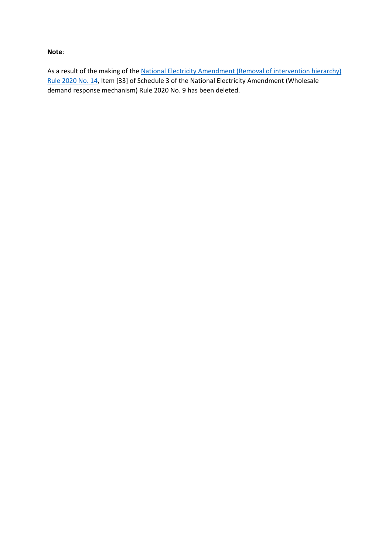#### **Note**:

As a result of the making of the National Electricity Amendment (Removal of intervention hierarchy) [Rule 2020 No. 14,](https://www.aemc.gov.au/rule-changes/removal-intervention-hierarchy) Item [33] of Schedule 3 of the National Electricity Amendment (Wholesale demand response mechanism) Rule 2020 No. 9 has been deleted.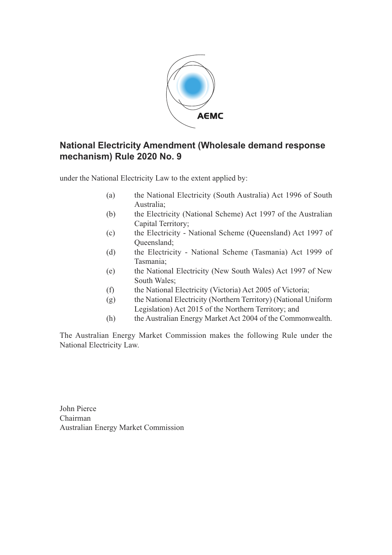

### **National Electricity Amendment (Wholesale demand response mechanism) Rule 2020 No. 9**

under the National Electricity Law to the extent applied by:

- (a) the National Electricity (South Australia) Act 1996 of South Australia;
- (b) the Electricity (National Scheme) Act 1997 of the Australian Capital Territory;
- (c) the Electricity National Scheme (Queensland) Act 1997 of Queensland;
- (d) the Electricity National Scheme (Tasmania) Act 1999 of Tasmania;
- (e) the National Electricity (New South Wales) Act 1997 of New South Wales;
- (f) the National Electricity (Victoria) Act 2005 of Victoria;
- (g) the National Electricity (Northern Territory) (National Uniform Legislation) Act 2015 of the Northern Territory; and
- (h) the Australian Energy Market Act 2004 of the Commonwealth.

The Australian Energy Market Commission makes the following Rule under the National Electricity Law.

John Pierce Chairman Australian Energy Market Commission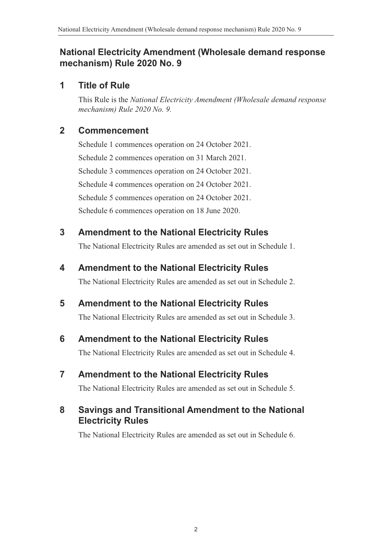#### **National Electricity Amendment (Wholesale demand response mechanism) Rule 2020 No. 9**

#### **1 Title of Rule**

This Rule is the *National Electricity Amendment (Wholesale demand response mechanism) Rule 2020 No. 9.*

#### **2 Commencement**

Schedule 1 commences operation on 24 October 2021. Schedule 2 commences operation on 31 March 2021. Schedule 3 commences operation on 24 October 2021. Schedule 4 commences operation on 24 October 2021. Schedule 5 commences operation on 24 October 2021. Schedule 6 commences operation on 18 June 2020.

#### **3 Amendment to the National Electricity Rules**

<span id="page-2-0"></span>The National Electricity Rules are amended as set out in [Schedule 1.](#page-3-0)

#### **4 Amendment to the National Electricity Rules**

<span id="page-2-1"></span>The National Electricity Rules are amended as set out in [Schedule 2.](#page-9-0)

#### **5 Amendment to the National Electricity Rules**

<span id="page-2-2"></span>The National Electricity Rules are amended as set out in [Schedule 3.](#page-11-0)

#### **6 Amendment to the National Electricity Rules**

<span id="page-2-3"></span>The National Electricity Rules are amended as set out in [Schedule 4.](#page-42-0)

#### **7 Amendment to the National Electricity Rules**

<span id="page-2-4"></span>The National Electricity Rules are amended as set out in [Schedule 5.](#page-47-0)

### **8 Savings and Transitional Amendment to the National Electricity Rules**

<span id="page-2-5"></span>The National Electricity Rules are amended as set out in [Schedule 6.](#page-57-0)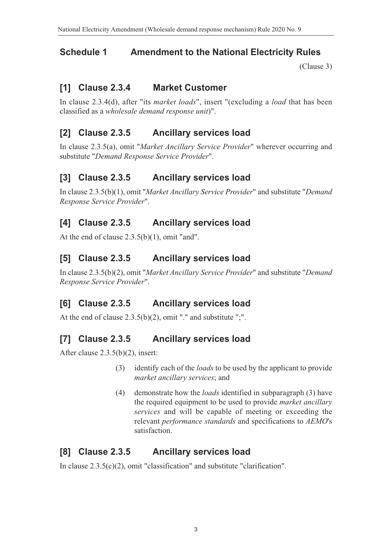# **Schedule 1 Amendment to the National Electricity Rules**

<span id="page-3-0"></span>[\(Clause 3\)](#page-2-0)

### **[1] Clause 2.3.4 Market Customer**

In clause 2.3.4(d), after "its *market loads*", insert "(excluding a *load* that has been classified as a *wholesale demand response unit*)".

### **[2] Clause 2.3.5 Ancillary services load**

In clause 2.3.5(a), omit "*Market Ancillary Service Provider*" wherever occurring and substitute "*Demand Response Service Provider*".

### **[3] Clause 2.3.5 Ancillary services load**

In clause 2.3.5(b)(1), omit "*Market Ancillary Service Provider*" and substitute "*Demand Response Service Provider*".

# **[4] Clause 2.3.5 Ancillary services load**

At the end of clause 2.3.5(b)(1), omit "and".

### **[5] Clause 2.3.5 Ancillary services load**

In clause 2.3.5(b)(2), omit "*Market Ancillary Service Provider*" and substitute "*Demand Response Service Provider*".

# **[6] Clause 2.3.5 Ancillary services load**

At the end of clause 2.3.5(b)(2), omit "." and substitute ";".

# **[7] Clause 2.3.5 Ancillary services load**

After clause 2.3.5(b)(2), insert:

- (3) identify each of the *loads* to be used by the applicant to provide *market ancillary services*; and
- (4) demonstrate how the *loads* identified in subparagraph (3) have the required equipment to be used to provide *market ancillary services* and will be capable of meeting or exceeding the relevant *performance standards* and specifications to *AEMO*'s satisfaction.

#### **[8] Clause 2.3.5 Ancillary services load**

In clause 2.3.5(c)(2), omit "classification" and substitute "clarification".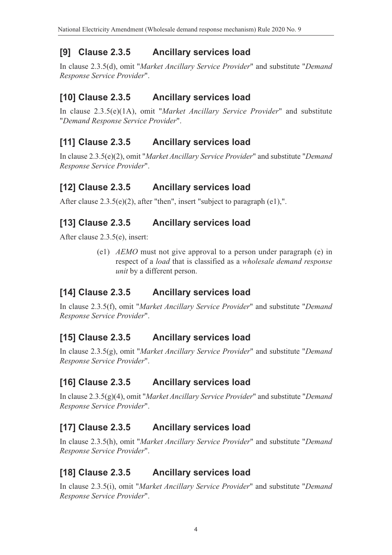# **[9] Clause 2.3.5 Ancillary services load**

In clause 2.3.5(d), omit "*Market Ancillary Service Provider*" and substitute "*Demand Response Service Provider*".

# **[10] Clause 2.3.5 Ancillary services load**

In clause 2.3.5(e)(1A), omit "*Market Ancillary Service Provider*" and substitute "*Demand Response Service Provider*".

# **[11] Clause 2.3.5 Ancillary services load**

In clause 2.3.5(e)(2), omit "*Market Ancillary Service Provider*" and substitute "*Demand Response Service Provider*".

# **[12] Clause 2.3.5 Ancillary services load**

After clause 2.3.5(e)(2), after "then", insert "subject to paragraph (e1),".

# **[13] Clause 2.3.5 Ancillary services load**

After clause 2.3.5(e), insert:

(e1) *AEMO* must not give approval to a person under paragraph (e) in respect of a *load* that is classified as a *wholesale demand response unit* by a different person.

# **[14] Clause 2.3.5 Ancillary services load**

In clause 2.3.5(f), omit "*Market Ancillary Service Provider*" and substitute "*Demand Response Service Provider*".

# **[15] Clause 2.3.5 Ancillary services load**

In clause 2.3.5(g), omit "*Market Ancillary Service Provider*" and substitute "*Demand Response Service Provider*".

# **[16] Clause 2.3.5 Ancillary services load**

In clause 2.3.5(g)(4), omit "*Market Ancillary Service Provider*" and substitute "*Demand Response Service Provider*".

# **[17] Clause 2.3.5 Ancillary services load**

In clause 2.3.5(h), omit "*Market Ancillary Service Provider*" and substitute "*Demand Response Service Provider*".

# **[18] Clause 2.3.5 Ancillary services load**

In clause 2.3.5(i), omit "*Market Ancillary Service Provider*" and substitute "*Demand Response Service Provider*".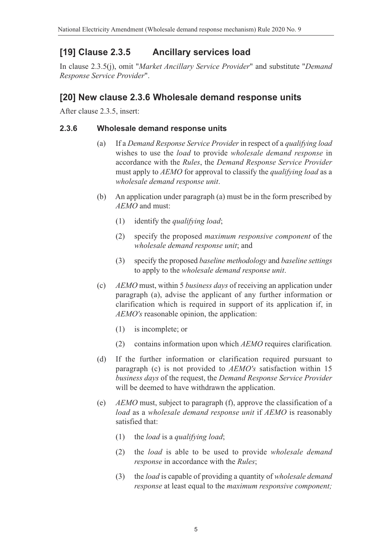# **[19] Clause 2.3.5 Ancillary services load**

In clause 2.3.5(j), omit "*Market Ancillary Service Provider*" and substitute "*Demand Response Service Provider*".

#### **[20] New clause 2.3.6 Wholesale demand response units**

After clause 2.3.5, insert:

#### **2.3.6 Wholesale demand response units**

- (a) If a *Demand Response Service Provider* in respect of a *qualifying load* wishes to use the *load* to provide *wholesale demand response* in accordance with the *Rules*, the *Demand Response Service Provider* must apply to *AEMO* for approval to classify the *qualifying load* as a *wholesale demand response unit*.
- (b) An application under paragraph (a) must be in the form prescribed by *AEMO* and must:
	- (1) identify the *qualifying load*;
	- (2) specify the proposed *maximum responsive component* of the *wholesale demand response unit*; and
	- (3) specify the proposed *baseline methodology* and *baseline settings* to apply to the *wholesale demand response unit*.
- (c) *AEMO* must, within 5 *business days* of receiving an application under paragraph (a), advise the applicant of any further information or clarification which is required in support of its application if, in *AEMO's* reasonable opinion, the application:
	- (1) is incomplete; or
	- (2) contains information upon which *AEMO* requires clarification*.*
- (d) If the further information or clarification required pursuant to paragraph (c) is not provided to *AEMO's* satisfaction within 15 *business days* of the request, the *Demand Response Service Provider* will be deemed to have withdrawn the application.
- (e) *AEMO* must, subject to paragraph (f), approve the classification of a *load* as a *wholesale demand response unit* if *AEMO* is reasonably satisfied that:
	- (1) the *load* is a *qualifying load*;
	- (2) the *load* is able to be used to provide *wholesale demand response* in accordance with the *Rules*;
	- (3) the *load* is capable of providing a quantity of *wholesale demand response* at least equal to the *maximum responsive component;*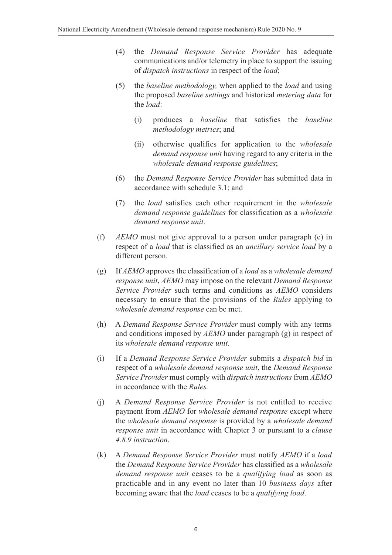- (4) the *Demand Response Service Provider* has adequate communications and/or telemetry in place to support the issuing of *dispatch instructions* in respect of the *load*;
- (5) the *baseline methodology,* when applied to the *load* and using the proposed *baseline settings* and historical *metering data* for the *load*:
	- (i) produces a *baseline* that satisfies the *baseline methodology metrics*; and
	- (ii) otherwise qualifies for application to the *wholesale demand response unit* having regard to any criteria in the *wholesale demand response guidelines*;
- (6) the *Demand Response Service Provider* has submitted data in accordance with schedule 3.1; and
- (7) the *load* satisfies each other requirement in the *wholesale demand response guidelines* for classification as a *wholesale demand response unit*.
- (f) *AEMO* must not give approval to a person under paragraph (e) in respect of a *load* that is classified as an *ancillary service load* by a different person.
- (g) If *AEMO* approves the classification of a *load* as a *wholesale demand response unit*, *AEMO* may impose on the relevant *Demand Response Service Provider* such terms and conditions as *AEMO* considers necessary to ensure that the provisions of the *Rules* applying to *wholesale demand response* can be met.
- (h) A *Demand Response Service Provider* must comply with any terms and conditions imposed by *AEMO* under paragraph (g) in respect of its *wholesale demand response unit*.
- (i) If a *Demand Response Service Provider* submits a *dispatch bid* in respect of a *wholesale demand response unit*, the *Demand Response Service Provider* must comply with *dispatch instructions* from *AEMO* in accordance with the *Rules.*
- (j) A *Demand Response Service Provider* is not entitled to receive payment from *AEMO* for *wholesale demand response* except where the *wholesale demand response* is provided by a *wholesale demand response unit* in accordance with Chapter 3 or pursuant to a *clause 4.8.9 instruction*.
- (k) A *Demand Response Service Provider* must notify *AEMO* if a *load* the *Demand Response Service Provider* has classified as a *wholesale demand response unit* ceases to be a *qualifying load* as soon as practicable and in any event no later than 10 *business days* after becoming aware that the *load* ceases to be a *qualifying load*.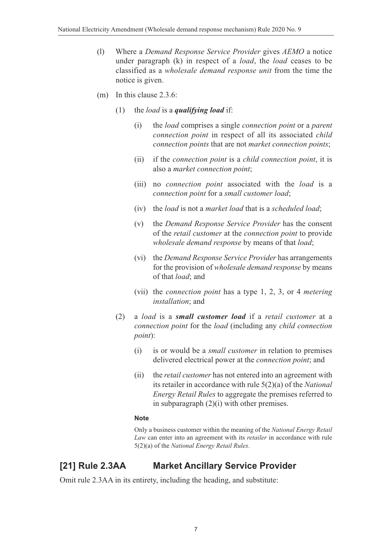- (l) Where a *Demand Response Service Provider* gives *AEMO* a notice under paragraph (k) in respect of a *load*, the *load* ceases to be classified as a *wholesale demand response unit* from the time the notice is given.
- (m) In this clause 2.3.6:
	- (1) the *load* is a *qualifying load* if:
		- (i) the *load* comprises a single *connection point* or a *parent connection point* in respect of all its associated *child connection points* that are not *market connection points*;
		- (ii) if the *connection point* is a *child connection point*, it is also a *market connection point*;
		- (iii) no *connection point* associated with the *load* is a *connection point* for a *small customer load*;
		- (iv) the *load* is not a *market load* that is a *scheduled load*;
		- (v) the *Demand Response Service Provider* has the consent of the *retail customer* at the *connection point* to provide *wholesale demand response* by means of that *load*;
		- (vi) the *Demand Response Service Provider* has arrangements for the provision of *wholesale demand response* by means of that *load*; and
		- (vii) the *connection point* has a type 1, 2, 3, or 4 *metering installation*; and
	- (2) a *load* is a *small customer load* if a *retail customer* at a *connection point* for the *load* (including any *child connection point*):
		- (i) is or would be a *small customer* in relation to premises delivered electrical power at the *connection point*; and
		- (ii) the *retail customer* has not entered into an agreement with its retailer in accordance with rule 5(2)(a) of the *National Energy Retail Rules* to aggregate the premises referred to in subparagraph (2)(i) with other premises.

#### **Note**

Only a business customer within the meaning of the *National Energy Retail Law* can enter into an agreement with its *retailer* in accordance with rule 5(2)(a) of the *National Energy Retail Rules*.

# **[21] Rule 2.3AA Market Ancillary Service Provider**

Omit rule 2.3AA in its entirety, including the heading, and substitute: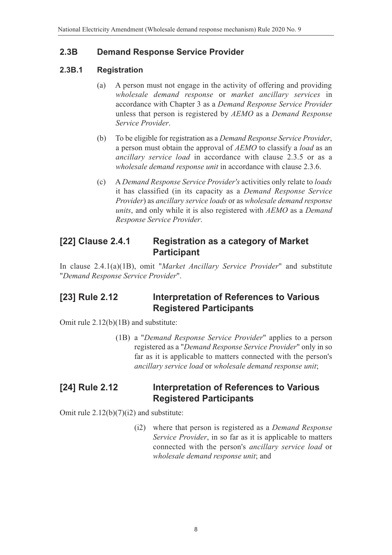#### **2.3B Demand Response Service Provider**

#### **2.3B.1 Registration**

- (a) A person must not engage in the activity of offering and providing *wholesale demand response* or *market ancillary services* in accordance with Chapter 3 as a *Demand Response Service Provider* unless that person is registered by *AEMO* as a *Demand Response Service Provider*.
- (b) To be eligible for registration as a *Demand Response Service Provider*, a person must obtain the approval of *AEMO* to classify a *load* as an *ancillary service load* in accordance with clause 2.3.5 or as a *wholesale demand response unit* in accordance with clause 2.3.6.
- (c) A *Demand Response Service Provider's* activities only relate to *loads* it has classified (in its capacity as a *Demand Response Service Provider*) as *ancillary service loads* or as *wholesale demand response units*, and only while it is also registered with *AEMO* as a *Demand Response Service Provider*.

#### **[22] Clause 2.4.1 Registration as a category of Market Participant**

In clause 2.4.1(a)(1B), omit "*Market Ancillary Service Provider*" and substitute "*Demand Response Service Provider*".

### **[23] Rule 2.12 Interpretation of References to Various Registered Participants**

Omit rule 2.12(b)(1B) and substitute:

(1B) a "*Demand Response Service Provider*" applies to a person registered as a "*Demand Response Service Provider*" only in so far as it is applicable to matters connected with the person's *ancillary service load* or *wholesale demand response unit*;

#### **[24] Rule 2.12 Interpretation of References to Various Registered Participants**

Omit rule  $2.12(b)(7)(i2)$  and substitute:

(i2) where that person is registered as a *Demand Response Service Provider*, in so far as it is applicable to matters connected with the person's *ancillary service load* or *wholesale demand response unit*; and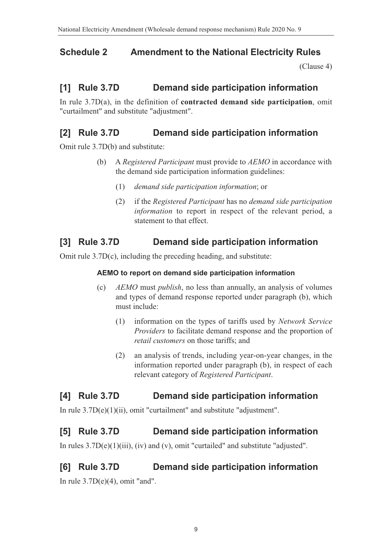# **Schedule 2 Amendment to the National Electricity Rules**

<span id="page-9-0"></span>[\(Clause 4\)](#page-2-1)

### **[1] Rule 3.7D Demand side participation information**

In rule 3.7D(a), in the definition of **contracted demand side participation**, omit "curtailment" and substitute "adjustment".

### **[2] Rule 3.7D Demand side participation information**

Omit rule 3.7D(b) and substitute:

- (b) A *Registered Participant* must provide to *AEMO* in accordance with the demand side participation information guidelines:
	- (1) *demand side participation information*; or
	- (2) if the *Registered Participant* has no *demand side participation information* to report in respect of the relevant period, a statement to that effect.

### **[3] Rule 3.7D Demand side participation information**

Omit rule 3.7D(c), including the preceding heading, and substitute:

#### **AEMO to report on demand side participation information**

- (c) *AEMO* must *publish*, no less than annually, an analysis of volumes and types of demand response reported under paragraph (b), which must include:
	- (1) information on the types of tariffs used by *Network Service Providers* to facilitate demand response and the proportion of *retail customers* on those tariffs; and
	- (2) an analysis of trends, including year-on-year changes, in the information reported under paragraph (b), in respect of each relevant category of *Registered Participant*.

#### **[4] Rule 3.7D Demand side participation information**

In rule 3.7D(e)(1)(ii), omit "curtailment" and substitute "adjustment".

#### **[5] Rule 3.7D Demand side participation information**

In rules 3.7D(e)(1)(iii), (iv) and (v), omit "curtailed" and substitute "adjusted".

#### **[6] Rule 3.7D Demand side participation information**

In rule  $3.7D(e)(4)$ , omit "and".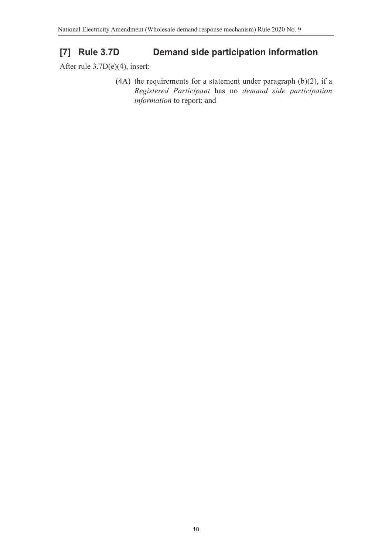# **[7] Rule 3.7D Demand side participation information**

After rule 3.7D(e)(4), insert:

(4A) the requirements for a statement under paragraph (b)(2), if a *Registered Participant* has no *demand side participation information* to report; and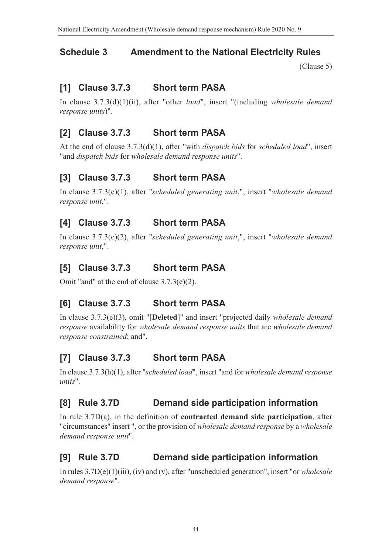# **Schedule 3 Amendment to the National Electricity Rules**

<span id="page-11-0"></span>[\(Clause 5\)](#page-2-2)

# **[1] Clause 3.7.3 Short term PASA**

In clause 3.7.3(d)(1)(ii), after "other *load*", insert "(including *wholesale demand response units*)".

# **[2] Clause 3.7.3 Short term PASA**

At the end of clause 3.7.3(d)(1), after "with *dispatch bids* for *scheduled load*", insert "and *dispatch bids* for *wholesale demand response units*".

# **[3] Clause 3.7.3 Short term PASA**

In clause 3.7.3(e)(1), after "*scheduled generating unit*,", insert "*wholesale demand response unit*,".

# **[4] Clause 3.7.3 Short term PASA**

In clause 3.7.3(e)(2), after "*scheduled generating unit*,", insert "*wholesale demand response unit*,".

# **[5] Clause 3.7.3 Short term PASA**

Omit "and" at the end of clause 3.7.3(e)(2).

# **[6] Clause 3.7.3 Short term PASA**

In clause 3.7.3(e)(3), omit "[**Deleted**]" and insert "projected daily *wholesale demand response* availability for *wholesale demand response units* that are *wholesale demand response constrained*; and".

# **[7] Clause 3.7.3 Short term PASA**

In clause 3.7.3(h)(1), after "*scheduled load*", insert "and for *wholesale demand response units*".

# **[8] Rule 3.7D Demand side participation information**

In rule 3.7D(a), in the definition of **contracted demand side participation**, after "circumstances" insert ", or the provision of *wholesale demand response* by a *wholesale demand response unit*".

# **[9] Rule 3.7D Demand side participation information**

In rules 3.7D(e)(1)(iii), (iv) and (v), after "unscheduled generation", insert "or *wholesale demand response*".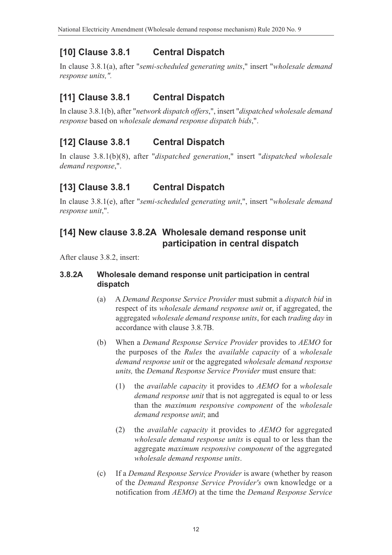# **[10] Clause 3.8.1 Central Dispatch**

In clause 3.8.1(a), after "*semi-scheduled generating units*," insert "*wholesale demand response units,".*

# **[11] Clause 3.8.1 Central Dispatch**

In clause 3.8.1(b), after "*network dispatch offers*,", insert "*dispatched wholesale demand response* based on *wholesale demand response dispatch bids*,".

# **[12] Clause 3.8.1 Central Dispatch**

In clause 3.8.1(b)(8), after "*dispatched generation*," insert "*dispatched wholesale demand response*,".

# **[13] Clause 3.8.1 Central Dispatch**

In clause 3.8.1(e), after "*semi-scheduled generating unit*,", insert "*wholesale demand response unit*,".

# **[14] New clause 3.8.2A Wholesale demand response unit participation in central dispatch**

After clause 3.8.2, insert:

#### **3.8.2A Wholesale demand response unit participation in central dispatch**

- (a) A *Demand Response Service Provider* must submit a *dispatch bid* in respect of its *wholesale demand response unit* or, if aggregated, the aggregated *wholesale demand response units*, for each *trading day* in accordance with clause 3.8.7B.
- (b) When a *Demand Response Service Provider* provides to *AEMO* for the purposes of the *Rules* the *available capacity* of a *wholesale demand response unit* or the aggregated *wholesale demand response units,* the *Demand Response Service Provider* must ensure that:
	- (1) the *available capacity* it provides to *AEMO* for a *wholesale demand response unit* that is not aggregated is equal to or less than the *maximum responsive component* of the *wholesale demand response unit*; and
	- (2) the *available capacity* it provides to *AEMO* for aggregated *wholesale demand response units* is equal to or less than the aggregate *maximum responsive component* of the aggregated *wholesale demand response units*.
- (c) If a *Demand Response Service Provider* is aware (whether by reason of the *Demand Response Service Provider's* own knowledge or a notification from *AEMO*) at the time the *Demand Response Service*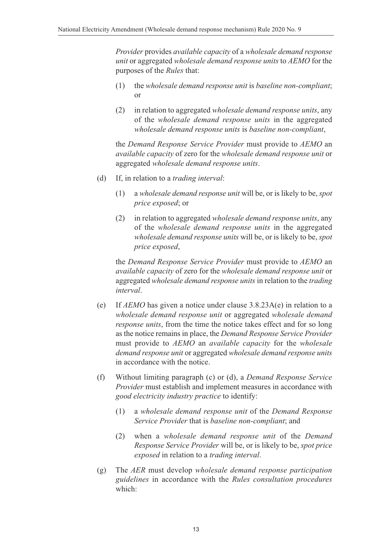*Provider* provides *available capacity* of a *wholesale demand response unit* or aggregated *wholesale demand response units* to *AEMO* for the purposes of the *Rules* that:

- (1) the *wholesale demand response unit* is *baseline non-compliant*; or
- (2) in relation to aggregated *wholesale demand response units*, any of the *wholesale demand response units* in the aggregated *wholesale demand response units* is *baseline non-compliant*,

the *Demand Response Service Provider* must provide to *AEMO* an *available capacity* of zero for the *wholesale demand response unit* or aggregated *wholesale demand response units*.

- (d) If, in relation to a *trading interval*:
	- (1) a *wholesale demand response unit* will be, or is likely to be, *spot price exposed*; or
	- (2) in relation to aggregated *wholesale demand response units*, any of the *wholesale demand response units* in the aggregated *wholesale demand response units* will be, or is likely to be, *spot price exposed*,

the *Demand Response Service Provider* must provide to *AEMO* an *available capacity* of zero for the *wholesale demand response unit* or aggregated *wholesale demand response units* in relation to the *trading interval*.

- (e) If *AEMO* has given a notice under clause 3.8.23A(e) in relation to a *wholesale demand response unit* or aggregated *wholesale demand response units*, from the time the notice takes effect and for so long as the notice remains in place, the *Demand Response Service Provider* must provide to *AEMO* an *available capacity* for the *wholesale demand response unit* or aggregated *wholesale demand response units* in accordance with the notice.
- (f) Without limiting paragraph (c) or (d), a *Demand Response Service Provider* must establish and implement measures in accordance with *good electricity industry practice* to identify:
	- (1) a *wholesale demand response unit* of the *Demand Response Service Provider* that is *baseline non-compliant*; and
	- (2) when a *wholesale demand response unit* of the *Demand Response Service Provider* will be, or is likely to be, *spot price exposed* in relation to a *trading interval*.
- (g) The *AER* must develop *wholesale demand response participation guidelines* in accordance with the *Rules consultation procedures* which: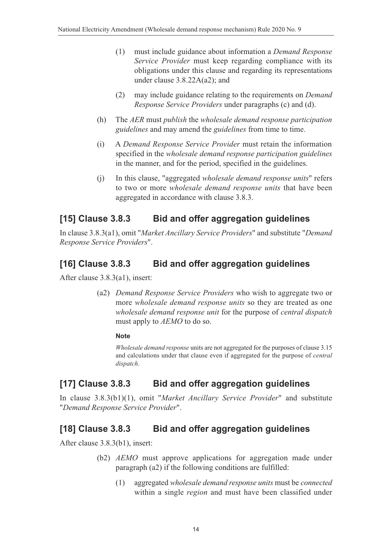- (1) must include guidance about information a *Demand Response Service Provider* must keep regarding compliance with its obligations under this clause and regarding its representations under clause 3.8.22A(a2); and
- (2) may include guidance relating to the requirements on *Demand Response Service Providers* under paragraphs (c) and (d).
- (h) The *AER* must *publish* the *wholesale demand response participation guidelines* and may amend the *guidelines* from time to time.
- (i) A *Demand Response Service Provider* must retain the information specified in the *wholesale demand response participation guidelines* in the manner, and for the period, specified in the guidelines.
- (j) In this clause, "aggregated *wholesale demand response units*" refers to two or more *wholesale demand response units* that have been aggregated in accordance with clause 3.8.3.

#### **[15] Clause 3.8.3 Bid and offer aggregation guidelines**

In clause 3.8.3(a1), omit "*Market Ancillary Service Providers*" and substitute "*Demand Response Service Providers*".

#### **[16] Clause 3.8.3 Bid and offer aggregation guidelines**

After clause 3.8.3(a1), insert:

(a2) *Demand Response Service Providers* who wish to aggregate two or more *wholesale demand response units* so they are treated as one *wholesale demand response unit* for the purpose of *central dispatch* must apply to *AEMO* to do so.

#### **Note**

*Wholesale demand response* units are not aggregated for the purposes of clause 3.15 and calculations under that clause even if aggregated for the purpose of *central dispatch*.

# **[17] Clause 3.8.3 Bid and offer aggregation guidelines**

In clause 3.8.3(b1)(1), omit "*Market Ancillary Service Provider*" and substitute "*Demand Response Service Provider*".

#### **[18] Clause 3.8.3 Bid and offer aggregation guidelines**

After clause 3.8.3(b1), insert:

- (b2) *AEMO* must approve applications for aggregation made under paragraph (a2) if the following conditions are fulfilled:
	- (1) aggregated *wholesale demand response units* must be *connected* within a single *region* and must have been classified under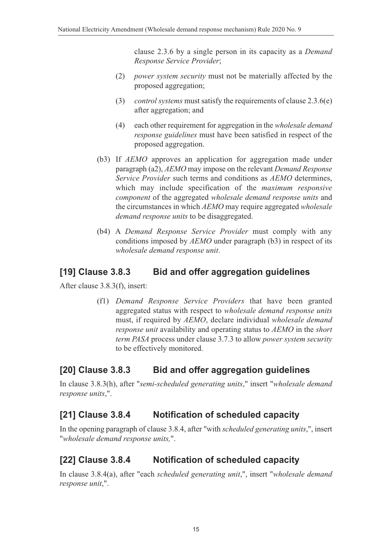clause 2.3.6 by a single person in its capacity as a *Demand Response Service Provider*;

- (2) *power system security* must not be materially affected by the proposed aggregation;
- (3) *control systems* must satisfy the requirements of clause 2.3.6(e) after aggregation; and
- (4) each other requirement for aggregation in the *wholesale demand response guidelines* must have been satisfied in respect of the proposed aggregation.
- (b3) If *AEMO* approves an application for aggregation made under paragraph (a2), *AEMO* may impose on the relevant *Demand Response Service Provider* such terms and conditions as *AEMO* determines, which may include specification of the *maximum responsive component* of the aggregated *wholesale demand response units* and the circumstances in which *AEMO* may require aggregated *wholesale demand response units* to be disaggregated.
- (b4) A *Demand Response Service Provider* must comply with any conditions imposed by *AEMO* under paragraph (b3) in respect of its *wholesale demand response unit*.

#### **[19] Clause 3.8.3 Bid and offer aggregation guidelines**

After clause 3.8.3(f), insert:

(f1) *Demand Response Service Providers* that have been granted aggregated status with respect to *wholesale demand response units* must, if required by *AEMO*, declare individual *wholesale demand response unit* availability and operating status to *AEMO* in the *short term PASA* process under clause 3.7.3 to allow *power system security* to be effectively monitored.

#### **[20] Clause 3.8.3 Bid and offer aggregation guidelines**

In clause 3.8.3(h), after "*semi-scheduled generating units*," insert "*wholesale demand response units*,".

#### **[21] Clause 3.8.4 Notification of scheduled capacity**

In the opening paragraph of clause 3.8.4, after "with *scheduled generating units*,", insert "*wholesale demand response units,*".

# **[22] Clause 3.8.4 Notification of scheduled capacity**

In clause 3.8.4(a), after "each *scheduled generating unit*,", insert "*wholesale demand response unit*,".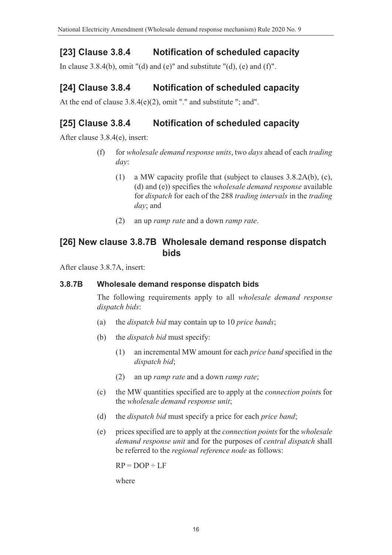# **[23] Clause 3.8.4 Notification of scheduled capacity**

In clause 3.8.4(b), omit "(d) and (e)" and substitute "(d), (e) and (f)".

### **[24] Clause 3.8.4 Notification of scheduled capacity**

At the end of clause 3.8.4(e)(2), omit "." and substitute "; and".

#### **[25] Clause 3.8.4 Notification of scheduled capacity**

After clause 3.8.4(e), insert:

- (f) for *wholesale demand response units*, two *days* ahead of each *trading day*:
	- (1) a MW capacity profile that (subject to clauses 3.8.2A(b), (c), (d) and (e)) specifies the *wholesale demand response* available for *dispatch* for each of the 288 *trading intervals* in the *trading day*; and
	- (2) an up *ramp rate* and a down *ramp rate*.

#### **[26] New clause 3.8.7B Wholesale demand response dispatch bids**

After clause 3.8.7A, insert:

#### **3.8.7B Wholesale demand response dispatch bids**

The following requirements apply to all *wholesale demand response dispatch bids*:

- (a) the *dispatch bid* may contain up to 10 *price bands*;
- (b) the *dispatch bid* must specify:
	- (1) an incremental MW amount for each *price band* specified in the *dispatch bid*;
	- (2) an up *ramp rate* and a down *ramp rate*;
- (c) the MW quantities specified are to apply at the *connection point*s for the *wholesale demand response unit*;
- (d) the *dispatch bid* must specify a price for each *price band*;
- (e) prices specified are to apply at the *connection points* for the *wholesale demand response unit* and for the purposes of *central dispatch* shall be referred to the *regional reference node* as follows:

 $RP = DOP \div LF$ 

where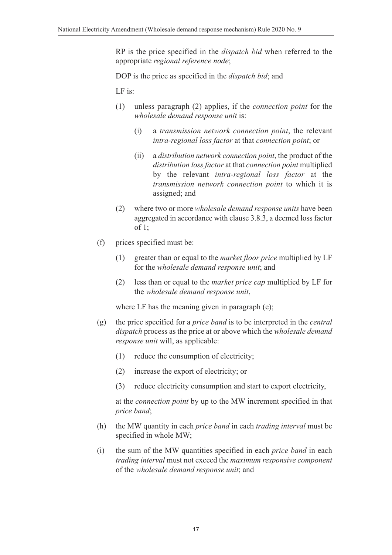RP is the price specified in the *dispatch bid* when referred to the appropriate *regional reference node*;

DOP is the price as specified in the *dispatch bid*; and

LF is:

- (1) unless paragraph (2) applies, if the *connection point* for the *wholesale demand response unit* is:
	- (i) a *transmission network connection point*, the relevant *intra-regional loss factor* at that *connection point*; or
	- (ii) a *distribution network connection point*, the product of the *distribution loss factor* at that *connection point* multiplied by the relevant *intra-regional loss factor* at the *transmission network connection point* to which it is assigned; and
- (2) where two or more *wholesale demand response units* have been aggregated in accordance with clause 3.8.3, a deemed loss factor of 1;
- (f) prices specified must be:
	- (1) greater than or equal to the *market floor price* multiplied by LF for the *wholesale demand response unit*; and
	- (2) less than or equal to the *market price cap* multiplied by LF for the *wholesale demand response unit*,

where LF has the meaning given in paragraph (e);

- (g) the price specified for a *price band* is to be interpreted in the *central dispatch* process as the price at or above which the *wholesale demand response unit* will, as applicable:
	- (1) reduce the consumption of electricity;
	- (2) increase the export of electricity; or
	- (3) reduce electricity consumption and start to export electricity,

at the *connection point* by up to the MW increment specified in that *price band*;

- (h) the MW quantity in each *price band* in each *trading interval* must be specified in whole MW;
- (i) the sum of the MW quantities specified in each *price band* in each *trading interval* must not exceed the *maximum responsive component* of the *wholesale demand response unit*; and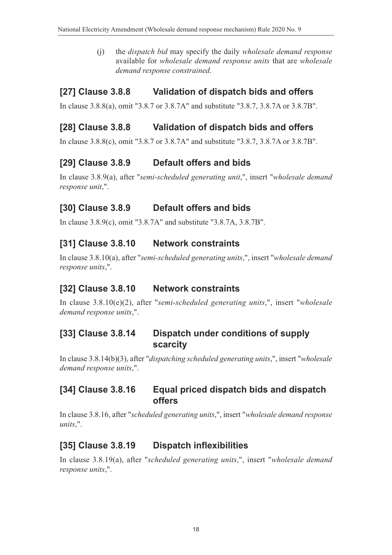(j) the *dispatch bid* may specify the daily *wholesale demand response* available for *wholesale demand response units* that are *wholesale demand response constrained*.

# **[27] Clause 3.8.8 Validation of dispatch bids and offers**

In clause 3.8.8(a), omit "3.8.7 or 3.8.7A" and substitute "3.8.7, 3.8.7A or 3.8.7B".

# **[28] Clause 3.8.8 Validation of dispatch bids and offers**

In clause 3.8.8(c), omit "3.8.7 or 3.8.7A" and substitute "3.8.7, 3.8.7A or 3.8.7B".

# **[29] Clause 3.8.9 Default offers and bids**

In clause 3.8.9(a), after "*semi-scheduled generating unit*,", insert "*wholesale demand response unit*,".

# **[30] Clause 3.8.9 Default offers and bids**

In clause 3.8.9(c), omit "3.8.7A" and substitute "3.8.7A, 3.8.7B".

# **[31] Clause 3.8.10 Network constraints**

In clause 3.8.10(a), after "*semi-scheduled generating units*,", insert "*wholesale demand response units*,".

# **[32] Clause 3.8.10 Network constraints**

In clause 3.8.10(e)(2), after "*semi-scheduled generating units*,", insert "*wholesale demand response units*,".

### **[33] Clause 3.8.14 Dispatch under conditions of supply scarcity**

In clause 3.8.14(b)(3), after "*dispatching scheduled generating units*,", insert "*wholesale demand response units*,".

### **[34] Clause 3.8.16 Equal priced dispatch bids and dispatch offers**

In clause 3.8.16, after "*scheduled generating units*,", insert "*wholesale demand response units*,".

# **[35] Clause 3.8.19 Dispatch inflexibilities**

In clause 3.8.19(a), after "*scheduled generating units*,", insert "*wholesale demand response units*,".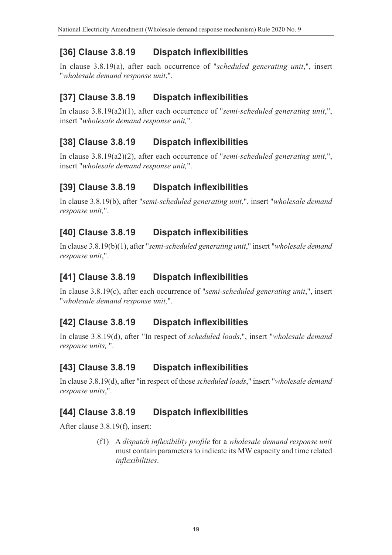# **[36] Clause 3.8.19 Dispatch inflexibilities**

In clause 3.8.19(a), after each occurrence of "*scheduled generating unit*,", insert "*wholesale demand response unit*,".

# **[37] Clause 3.8.19 Dispatch inflexibilities**

In clause 3.8.19(a2)(1), after each occurrence of "*semi-scheduled generating unit*,", insert "*wholesale demand response unit,*".

# **[38] Clause 3.8.19 Dispatch inflexibilities**

In clause 3.8.19(a2)(2), after each occurrence of "*semi-scheduled generating unit*,", insert "*wholesale demand response unit,*".

# **[39] Clause 3.8.19 Dispatch inflexibilities**

In clause 3.8.19(b), after "*semi-scheduled generating unit*,", insert "*wholesale demand response unit,*".

# **[40] Clause 3.8.19 Dispatch inflexibilities**

In clause 3.8.19(b)(1), after "*semi-scheduled generating unit*," insert "*wholesale demand response unit*,".

### **[41] Clause 3.8.19 Dispatch inflexibilities**

In clause 3.8.19(c), after each occurrence of "*semi-scheduled generating unit*,", insert "*wholesale demand response unit,*".

#### **[42] Clause 3.8.19 Dispatch inflexibilities**

In clause 3.8.19(d), after "In respect of *scheduled loads*,", insert "*wholesale demand response units,* ".

# **[43] Clause 3.8.19 Dispatch inflexibilities**

In clause 3.8.19(d), after "in respect of those *scheduled loads*," insert "*wholesale demand response units*,".

#### **[44] Clause 3.8.19 Dispatch inflexibilities**

After clause 3.8.19(f), insert:

(f1) A *dispatch inflexibility profile* for a *wholesale demand response unit* must contain parameters to indicate its MW capacity and time related *inflexibilities*.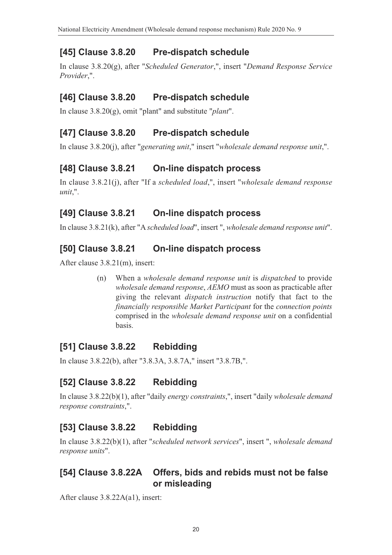# **[45] Clause 3.8.20 Pre-dispatch schedule**

In clause 3.8.20(g), after "*Scheduled Generator*,", insert "*Demand Response Service Provider*,".

### **[46] Clause 3.8.20 Pre-dispatch schedule**

In clause 3.8.20(g), omit "plant" and substitute "*plant*".

#### **[47] Clause 3.8.20 Pre-dispatch schedule**

In clause 3.8.20(j), after "*generating unit*," insert "*wholesale demand response unit*,".

### **[48] Clause 3.8.21 On-line dispatch process**

In clause 3.8.21(j), after "If a *scheduled load*,", insert "*wholesale demand response unit*,".

### **[49] Clause 3.8.21 On-line dispatch process**

In clause 3.8.21(k), after "A *scheduled load*", insert ", *wholesale demand response unit*".

### **[50] Clause 3.8.21 On-line dispatch process**

After clause 3.8.21(m), insert:

(n) When a *wholesale demand response unit* is *dispatched* to provide *wholesale demand response*, *AEMO* must as soon as practicable after giving the relevant *dispatch instruction* notify that fact to the *financially responsible Market Participant* for the *connection points* comprised in the *wholesale demand response unit* on a confidential basis.

# **[51] Clause 3.8.22 Rebidding**

In clause 3.8.22(b), after "3.8.3A, 3.8.7A," insert "3.8.7B,".

# **[52] Clause 3.8.22 Rebidding**

In clause 3.8.22(b)(1), after "daily *energy constraints*,", insert "daily *wholesale demand response constraints*,".

# **[53] Clause 3.8.22 Rebidding**

In clause 3.8.22(b)(1), after "*scheduled network services*", insert ", *wholesale demand response units*".

#### **[54] Clause 3.8.22A Offers, bids and rebids must not be false or misleading**

After clause 3.8.22A(a1), insert: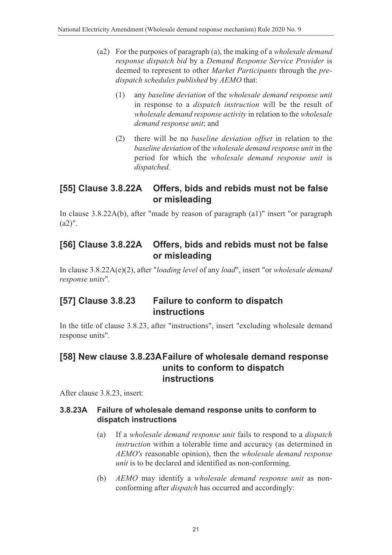- (a2) For the purposes of paragraph (a), the making of a *wholesale demand response dispatch bid* by a *Demand Response Service Provider* is deemed to represent to other *Market Participants* through the *predispatch schedules published* by *AEMO* that:
	- (1) any *baseline deviation* of the *wholesale demand response unit* in response to a *dispatch instruction* will be the result of *wholesale demand response activity* in relation to the *wholesale demand response unit*; and
	- (2) there will be no *baseline deviation offset* in relation to the *baseline deviation* of the *wholesale demand response unit* in the period for which the *wholesale demand response unit* is *dispatched.*

#### **[55] Clause 3.8.22A Offers, bids and rebids must not be false or misleading**

In clause 3.8.22A(b), after "made by reason of paragraph (a1)" insert "or paragraph  $(a2)$ ".

#### **[56] Clause 3.8.22A Offers, bids and rebids must not be false or misleading**

In clause 3.8.22A(e)(2), after "*loading level* of any *load*", insert "or *wholesale demand response units*".

#### **[57] Clause 3.8.23 Failure to conform to dispatch instructions**

In the title of clause 3.8.23, after "instructions", insert "excluding wholesale demand response units".

#### **[58] New clause 3.8.23AFailure of wholesale demand response units to conform to dispatch instructions**

After clause 3.8.23, insert:

#### **3.8.23A Failure of wholesale demand response units to conform to dispatch instructions**

- (a) If a *wholesale demand response unit* fails to respond to a *dispatch instruction* within a tolerable time and accuracy (as determined in *AEMO's* reasonable opinion), then the *wholesale demand response unit* is to be declared and identified as non-conforming.
- (b) *AEMO* may identify a *wholesale demand response unit* as nonconforming after *dispatch* has occurred and accordingly: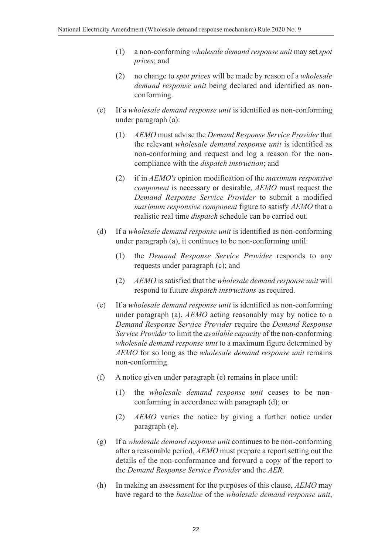- (1) a non-conforming *wholesale demand response unit* may set *spot prices*; and
- (2) no change to *spot prices* will be made by reason of a *wholesale demand response unit* being declared and identified as nonconforming.
- (c) If a *wholesale demand response unit* is identified as non-conforming under paragraph (a):
	- (1) *AEMO* must advise the *Demand Response Service Provider* that the relevant *wholesale demand response unit* is identified as non-conforming and request and log a reason for the noncompliance with the *dispatch instruction*; and
	- (2) if in *AEMO's* opinion modification of the *maximum responsive component* is necessary or desirable, *AEMO* must request the *Demand Response Service Provider* to submit a modified *maximum responsive component* figure to satisfy *AEMO* that a realistic real time *dispatch* schedule can be carried out.
- (d) If a *wholesale demand response unit* is identified as non-conforming under paragraph (a), it continues to be non-conforming until:
	- (1) the *Demand Response Service Provider* responds to any requests under paragraph (c); and
	- (2) *AEMO* is satisfied that the *wholesale demand response unit* will respond to future *dispatch instructions* as required.
- (e) If a *wholesale demand response unit* is identified as non-conforming under paragraph (a), *AEMO* acting reasonably may by notice to a *Demand Response Service Provider* require the *Demand Response Service Provider* to limit the *available capacity* of the non-conforming *wholesale demand response unit* to a maximum figure determined by *AEMO* for so long as the *wholesale demand response unit* remains non-conforming.
- (f) A notice given under paragraph (e) remains in place until:
	- (1) the *wholesale demand response unit* ceases to be nonconforming in accordance with paragraph (d); or
	- (2) *AEMO* varies the notice by giving a further notice under paragraph (e).
- (g) If a *wholesale demand response unit* continues to be non-conforming after a reasonable period, *AEMO* must prepare a report setting out the details of the non-conformance and forward a copy of the report to the *Demand Response Service Provider* and the *AER*.
- (h) In making an assessment for the purposes of this clause, *AEMO* may have regard to the *baseline* of the *wholesale demand response unit*,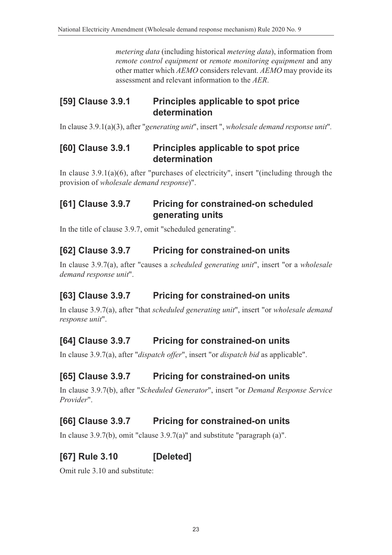*metering data* (including historical *metering data*), information from *remote control equipment* or *remote monitoring equipment* and any other matter which *AEMO* considers relevant. *AEMO* may provide its assessment and relevant information to the *AER*.

### **[59] Clause 3.9.1 Principles applicable to spot price determination**

In clause 3.9.1(a)(3), after "*generating unit*", insert ", *wholesale demand response unit*"*.*

#### **[60] Clause 3.9.1 Principles applicable to spot price determination**

In clause 3.9.1(a)(6), after "purchases of electricity", insert "(including through the provision of *wholesale demand response*)".

# **[61] Clause 3.9.7 Pricing for constrained-on scheduled generating units**

In the title of clause 3.9.7, omit "scheduled generating".

# **[62] Clause 3.9.7 Pricing for constrained-on units**

In clause 3.9.7(a), after "causes a *scheduled generating unit*", insert "or a *wholesale demand response unit*".

# **[63] Clause 3.9.7 Pricing for constrained-on units**

In clause 3.9.7(a), after "that *scheduled generating unit*", insert "or *wholesale demand response unit*".

# **[64] Clause 3.9.7 Pricing for constrained-on units**

In clause 3.9.7(a), after "*dispatch offer*", insert "or *dispatch bid* as applicable".

#### **[65] Clause 3.9.7 Pricing for constrained-on units**

In clause 3.9.7(b), after "*Scheduled Generator*", insert "or *Demand Response Service Provider*".

# **[66] Clause 3.9.7 Pricing for constrained-on units**

In clause 3.9.7(b), omit "clause 3.9.7(a)" and substitute "paragraph (a)".

# **[67] Rule 3.10 [Deleted]**

Omit rule 3.10 and substitute: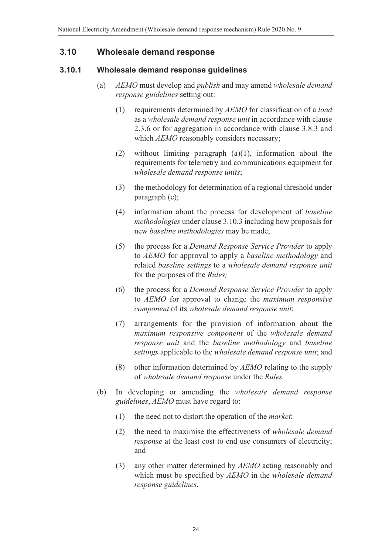#### **3.10 Wholesale demand response**

#### **3.10.1 Wholesale demand response guidelines**

- (a) *AEMO* must develop and *publish* and may amend *wholesale demand response guidelines* setting out:
	- (1) requirements determined by *AEMO* for classification of a *load* as a *wholesale demand response unit* in accordance with clause 2.3.6 or for aggregation in accordance with clause 3.8.3 and which *AEMO* reasonably considers necessary;
	- (2) without limiting paragraph (a)(1), information about the requirements for telemetry and communications equipment for *wholesale demand response units*;
	- (3) the methodology for determination of a regional threshold under paragraph (c);
	- (4) information about the process for development of *baseline methodologies* under clause 3.10.3 including how proposals for new *baseline methodologies* may be made;
	- (5) the process for a *Demand Response Service Provider* to apply to *AEMO* for approval to apply a *baseline methodology* and related *baseline settings* to a *wholesale demand response unit* for the purposes of the *Rules;*
	- (6) the process for a *Demand Response Service Provider* to apply to *AEMO* for approval to change the *maximum responsive component* of its *wholesale demand response unit*;
	- (7) arrangements for the provision of information about the *maximum responsive component* of the *wholesale demand response unit* and the *baseline methodology* and *baseline settings* applicable to the *wholesale demand response unit*; and
	- (8) other information determined by *AEMO* relating to the supply of *wholesale demand response* under the *Rules.*
- (b) In developing or amending the *wholesale demand response guidelines*, *AEMO* must have regard to:
	- (1) the need not to distort the operation of the *market*;
	- (2) the need to maximise the effectiveness of *wholesale demand response* at the least cost to end use consumers of electricity; and
	- (3) any other matter determined by *AEMO* acting reasonably and which must be specified by *AEMO* in the *wholesale demand response guidelines*.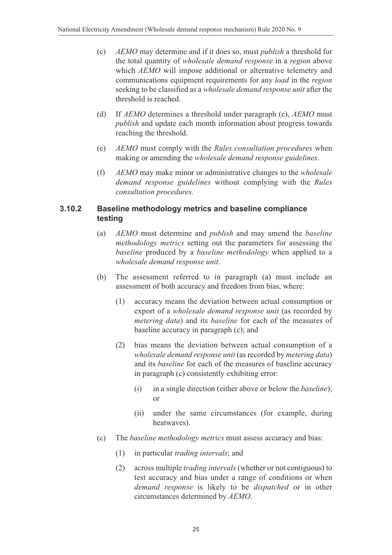- (c) *AEMO* may determine and if it does so, must *publish* a threshold for the total quantity of *wholesale demand response* in a *region* above which *AEMO* will impose additional or alternative telemetry and communications equipment requirements for any *load* in the *region* seeking to be classified as a *wholesale demand response unit* after the threshold is reached.
- (d) If *AEMO* determines a threshold under paragraph (c), *AEMO* must *publish* and update each month information about progress towards reaching the threshold.
- (e) *AEMO* must comply with the *Rules consultation procedures* when making or amending the *wholesale demand response guidelines*.
- (f) *AEMO* may make minor or administrative changes to the *wholesale demand response guidelines* without complying with the *Rules consultation procedures.*

#### **3.10.2 Baseline methodology metrics and baseline compliance testing**

- (a) *AEMO* must determine and *publish* and may amend the *baseline methodology metrics* setting out the parameters for assessing the *baseline* produced by a *baseline methodology* when applied to a *wholesale demand response unit*.
- (b) The assessment referred to in paragraph (a) must include an assessment of both accuracy and freedom from bias, where:
	- (1) accuracy means the deviation between actual consumption or export of a *wholesale demand response unit* (as recorded by *metering data*) and its *baseline* for each of the measures of baseline accuracy in paragraph (c); and
	- (2) bias means the deviation between actual consumption of a *wholesale demand response unit* (as recorded by *metering data*) and its *baseline* for each of the measures of baseline accuracy in paragraph (c) consistently exhibiting error:
		- (i) in a single direction (either above or below the *baseline*); or
		- (ii) under the same circumstances (for example, during heatwaves).
- (c) The *baseline methodology metrics* must assess accuracy and bias:
	- (1) in particular *trading intervals*; and
	- (2) across multiple *trading intervals* (whether or not contiguous) to test accuracy and bias under a range of conditions or when *demand response* is likely to be *dispatched* or in other circumstances determined by *AEMO*.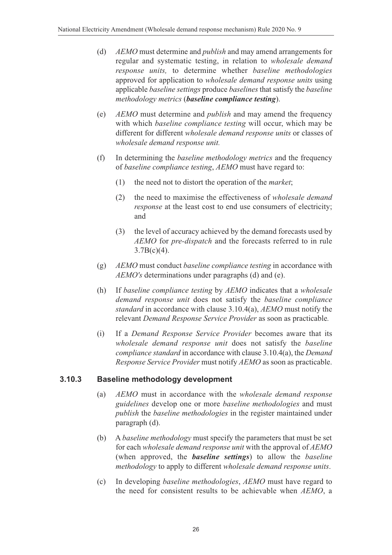- (d) *AEMO* must determine and *publish* and may amend arrangements for regular and systematic testing, in relation to *wholesale demand response units,* to determine whether *baseline methodologies* approved for application to *wholesale demand response units* using applicable *baseline settings* produce *baselines* that satisfy the *baseline methodology metrics* (*baseline compliance testing*).
- (e) *AEMO* must determine and *publish* and may amend the frequency with which *baseline compliance testing* will occur, which may be different for different *wholesale demand response units* or classes of *wholesale demand response unit.*
- (f) In determining the *baseline methodology metrics* and the frequency of *baseline compliance testing*, *AEMO* must have regard to:
	- (1) the need not to distort the operation of the *market*;
	- (2) the need to maximise the effectiveness of *wholesale demand response* at the least cost to end use consumers of electricity; and
	- (3) the level of accuracy achieved by the demand forecasts used by *AEMO* for *pre-dispatch* and the forecasts referred to in rule  $3.7B(c)(4)$ .
- (g) *AEMO* must conduct *baseline compliance testing* in accordance with *AEMO's* determinations under paragraphs (d) and (e).
- (h) If *baseline compliance testing* by *AEMO* indicates that a *wholesale demand response unit* does not satisfy the *baseline compliance standard* in accordance with clause 3.10.4(a), *AEMO* must notify the relevant *Demand Response Service Provider* as soon as practicable*.*
- (i) If a *Demand Response Service Provider* becomes aware that its *wholesale demand response unit* does not satisfy the *baseline compliance standard* in accordance with clause 3.10.4(a), the *Demand Response Service Provider* must notify *AEMO* as soon as practicable.

#### **3.10.3 Baseline methodology development**

- (a) *AEMO* must in accordance with the *wholesale demand response guidelines* develop one or more *baseline methodologies* and must *publish* the *baseline methodologies* in the register maintained under paragraph (d).
- (b) A *baseline methodology* must specify the parameters that must be set for each *wholesale demand response unit* with the approval of *AEMO* (when approved, the *baseline settings*) to allow the *baseline methodology* to apply to different *wholesale demand response units*.
- (c) In developing *baseline methodologies*, *AEMO* must have regard to the need for consistent results to be achievable when *AEMO*, a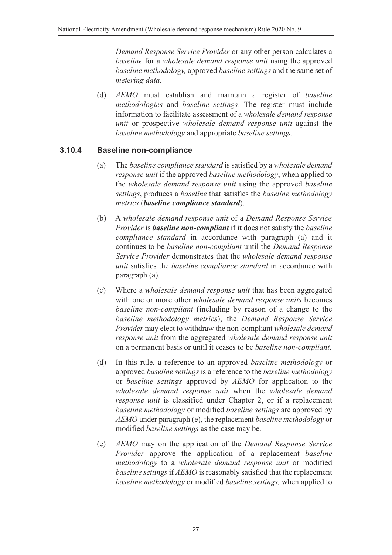*Demand Response Service Provider* or any other person calculates a *baseline* for a *wholesale demand response unit* using the approved *baseline methodology,* approved *baseline settings* and the same set of *metering data*.

(d) *AEMO* must establish and maintain a register of *baseline methodologies* and *baseline settings*. The register must include information to facilitate assessment of a *wholesale demand response unit* or prospective *wholesale demand response unit* against the *baseline methodology* and appropriate *baseline settings.*

#### **3.10.4 Baseline non-compliance**

- (a) The *baseline compliance standard* is satisfied by a *wholesale demand response unit* if the approved *baseline methodology*, when applied to the *wholesale demand response unit* using the approved *baseline settings*, produces a *baseline* that satisfies the *baseline methodology metrics* (*baseline compliance standard*).
- (b) A *wholesale demand response unit* of a *Demand Response Service Provider* is *baseline non-compliant* if it does not satisfy the *baseline compliance standard* in accordance with paragraph (a) and it continues to be *baseline non-compliant* until the *Demand Response Service Provider* demonstrates that the *wholesale demand response unit* satisfies the *baseline compliance standard* in accordance with paragraph (a).
- (c) Where a *wholesale demand response unit* that has been aggregated with one or more other *wholesale demand response units* becomes *baseline non-compliant* (including by reason of a change to the *baseline methodology metrics*), the *Demand Response Service Provider* may elect to withdraw the non-compliant *wholesale demand response unit* from the aggregated *wholesale demand response unit* on a permanent basis or until it ceases to be *baseline non-compliant*.
- (d) In this rule, a reference to an approved *baseline methodology* or approved *baseline settings* is a reference to the *baseline methodology* or *baseline settings* approved by *AEMO* for application to the *wholesale demand response unit* when the *wholesale demand response unit* is classified under Chapter 2, or if a replacement *baseline methodology* or modified *baseline settings* are approved by *AEMO* under paragraph (e), the replacement *baseline methodology* or modified *baseline settings* as the case may be.
- (e) *AEMO* may on the application of the *Demand Response Service Provider* approve the application of a replacement *baseline methodology* to a *wholesale demand response unit* or modified *baseline settings* if *AEMO* is reasonably satisfied that the replacement *baseline methodology* or modified *baseline settings,* when applied to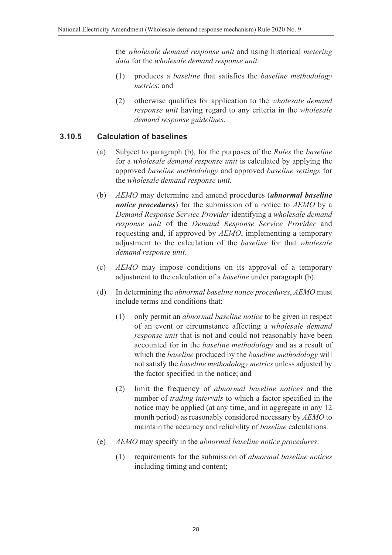the *wholesale demand response unit* and using historical *metering data* for the *wholesale demand response unit*:

- (1) produces a *baseline* that satisfies the *baseline methodology metrics*; and
- (2) otherwise qualifies for application to the *wholesale demand response unit* having regard to any criteria in the *wholesale demand response guidelines*.

#### **3.10.5 Calculation of baselines**

- (a) Subject to paragraph (b), for the purposes of the *Rules* the *baseline* for a *wholesale demand response unit* is calculated by applying the approved *baseline methodology* and approved *baseline settings* for the *wholesale demand response unit.*
- (b) *AEMO* may determine and amend procedures (*abnormal baseline notice procedures*) for the submission of a notice to *AEMO* by a *Demand Response Service Provider* identifying a *wholesale demand response unit* of the *Demand Response Service Provider* and requesting and, if approved by *AEMO*, implementing a temporary adjustment to the calculation of the *baseline* for that *wholesale demand response unit*.
- (c) *AEMO* may impose conditions on its approval of a temporary adjustment to the calculation of a *baseline* under paragraph (b)*.*
- (d) In determining the *abnormal baseline notice procedures*, *AEMO* must include terms and conditions that:
	- (1) only permit an *abnormal baseline notice* to be given in respect of an event or circumstance affecting a *wholesale demand response unit* that is not and could not reasonably have been accounted for in the *baseline methodology* and as a result of which the *baseline* produced by the *baseline methodology* will not satisfy the *baseline methodology metrics* unless adjusted by the factor specified in the notice; and
	- (2) limit the frequency of *abnormal baseline notices* and the number of *trading intervals* to which a factor specified in the notice may be applied (at any time, and in aggregate in any 12 month period) as reasonably considered necessary by *AEMO* to maintain the accuracy and reliability of *baseline* calculations.
- (e) *AEMO* may specify in the *abnormal baseline notice procedures*:
	- (1) requirements for the submission of *abnormal baseline notices* including timing and content;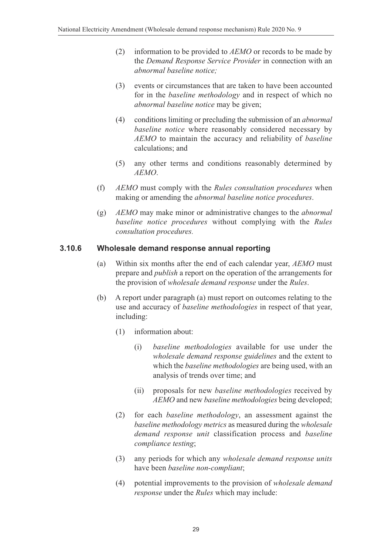- (2) information to be provided to *AEMO* or records to be made by the *Demand Response Service Provider* in connection with an *abnormal baseline notice;*
- (3) events or circumstances that are taken to have been accounted for in the *baseline methodology* and in respect of which no *abnormal baseline notice* may be given;
- (4) conditions limiting or precluding the submission of an *abnormal baseline notice* where reasonably considered necessary by *AEMO* to maintain the accuracy and reliability of *baseline* calculations; and
- (5) any other terms and conditions reasonably determined by *AEMO*.
- (f) *AEMO* must comply with the *Rules consultation procedures* when making or amending the *abnormal baseline notice procedures*.
- (g) *AEMO* may make minor or administrative changes to the *abnormal baseline notice procedures* without complying with the *Rules consultation procedures.*

#### **3.10.6 Wholesale demand response annual reporting**

- (a) Within six months after the end of each calendar year, *AEMO* must prepare and *publish* a report on the operation of the arrangements for the provision of *wholesale demand response* under the *Rules*.
- (b) A report under paragraph (a) must report on outcomes relating to the use and accuracy of *baseline methodologies* in respect of that year, including:
	- (1) information about:
		- (i) *baseline methodologies* available for use under the *wholesale demand response guidelines* and the extent to which the *baseline methodologies* are being used, with an analysis of trends over time; and
		- (ii) proposals for new *baseline methodologies* received by *AEMO* and new *baseline methodologies* being developed;
	- (2) for each *baseline methodology*, an assessment against the *baseline methodology metrics* as measured during the *wholesale demand response unit* classification process and *baseline compliance testing*;
	- (3) any periods for which any *wholesale demand response units* have been *baseline non-compliant*;
	- (4) potential improvements to the provision of *wholesale demand response* under the *Rules* which may include: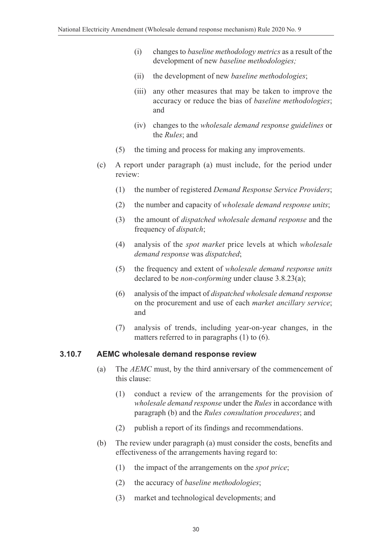- (i) changes to *baseline methodology metrics* as a result of the development of new *baseline methodologies;*
- (ii) the development of new *baseline methodologies*;
- (iii) any other measures that may be taken to improve the accuracy or reduce the bias of *baseline methodologies*; and
- (iv) changes to the *wholesale demand response guidelines* or the *Rules*; and
- (5) the timing and process for making any improvements.
- (c) A report under paragraph (a) must include, for the period under review:
	- (1) the number of registered *Demand Response Service Providers*;
	- (2) the number and capacity of *wholesale demand response units*;
	- (3) the amount of *dispatched wholesale demand response* and the frequency of *dispatch*;
	- (4) analysis of the *spot market* price levels at which *wholesale demand response* was *dispatched*;
	- (5) the frequency and extent of *wholesale demand response units* declared to be *non-conforming* under clause 3.8.23(a);
	- (6) analysis of the impact of *dispatched wholesale demand response* on the procurement and use of each *market ancillary service*; and
	- (7) analysis of trends, including year-on-year changes, in the matters referred to in paragraphs (1) to (6).

#### **3.10.7 AEMC wholesale demand response review**

- (a) The *AEMC* must, by the third anniversary of the commencement of this clause:
	- (1) conduct a review of the arrangements for the provision of *wholesale demand response* under the *Rules* in accordance with paragraph (b) and the *Rules consultation procedures*; and
	- (2) publish a report of its findings and recommendations.
- (b) The review under paragraph (a) must consider the costs, benefits and effectiveness of the arrangements having regard to:
	- (1) the impact of the arrangements on the *spot price*;
	- (2) the accuracy of *baseline methodologies*;
	- (3) market and technological developments; and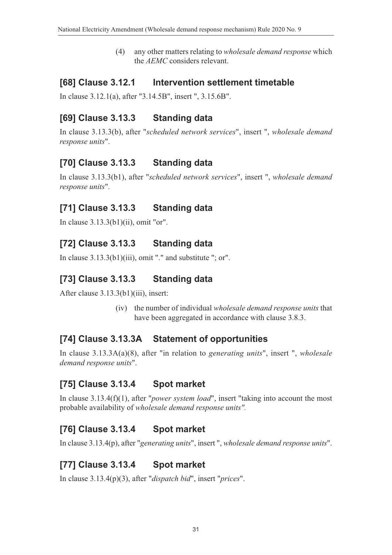(4) any other matters relating to *wholesale demand response* which the *AEMC* considers relevant.

#### **[68] Clause 3.12.1 Intervention settlement timetable**

In clause 3.12.1(a), after "3.14.5B", insert ", 3.15.6B".

# **[69] Clause 3.13.3 Standing data**

In clause 3.13.3(b), after "*scheduled network services*", insert ", *wholesale demand response units*".

# **[70] Clause 3.13.3 Standing data**

In clause 3.13.3(b1), after "*scheduled network services*", insert ", *wholesale demand response units*".

# **[71] Clause 3.13.3 Standing data**

In clause 3.13.3(b1)(ii), omit "or".

# **[72] Clause 3.13.3 Standing data**

In clause 3.13.3(b1)(iii), omit "." and substitute "; or".

# **[73] Clause 3.13.3 Standing data**

After clause 3.13.3(b1)(iii), insert:

(iv) the number of individual *wholesale demand response units* that have been aggregated in accordance with clause 3.8.3.

# **[74] Clause 3.13.3A Statement of opportunities**

In clause 3.13.3A(a)(8), after "in relation to *generating units*", insert ", *wholesale demand response units*".

# **[75] Clause 3.13.4 Spot market**

In clause 3.13.4(f)(1), after "*power system load*", insert "taking into account the most probable availability of *wholesale demand response units".*

# **[76] Clause 3.13.4 Spot market**

In clause 3.13.4(p), after "*generating units*", insert ", *wholesale demand response units*".

#### **[77] Clause 3.13.4 Spot market**

In clause 3.13.4(p)(3), after "*dispatch bid*", insert "*prices*".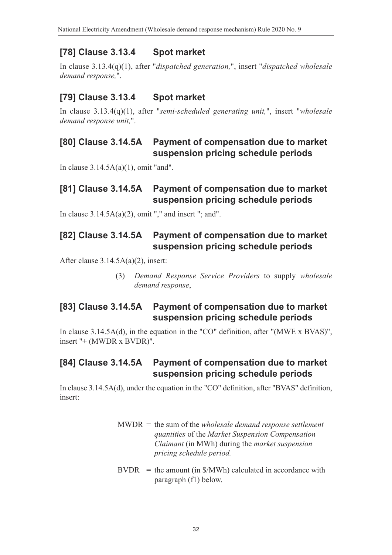# **[78] Clause 3.13.4 Spot market**

In clause 3.13.4(q)(1), after "*dispatched generation,*", insert "*dispatched wholesale demand response,*".

### **[79] Clause 3.13.4 Spot market**

In clause 3.13.4(q)(1), after "*semi-scheduled generating unit,*", insert "*wholesale demand response unit,*".

#### **[80] Clause 3.14.5A Payment of compensation due to market suspension pricing schedule periods**

In clause 3.14.5A(a)(1), omit "and".

#### **[81] Clause 3.14.5A Payment of compensation due to market suspension pricing schedule periods**

In clause  $3.14.5A(a)(2)$ , omit "," and insert "; and".

#### **[82] Clause 3.14.5A Payment of compensation due to market suspension pricing schedule periods**

After clause 3.14.5A(a)(2), insert:

(3) *Demand Response Service Providers* to supply *wholesale demand response*,

### **[83] Clause 3.14.5A Payment of compensation due to market suspension pricing schedule periods**

In clause 3.14.5A(d), in the equation in the "CO" definition, after "(MWE x BVAS)", insert "+ (MWDR x BVDR)".

### **[84] Clause 3.14.5A Payment of compensation due to market suspension pricing schedule periods**

In clause 3.14.5A(d), under the equation in the "CO" definition, after "BVAS" definition, insert:

- MWDR = the sum of the *wholesale demand response settlement quantities* of the *Market Suspension Compensation Claimant* (in MWh) during the *market suspension pricing schedule period.*
- $BVDR =$  the amount (in  $MWh$ ) calculated in accordance with paragraph (f1) below.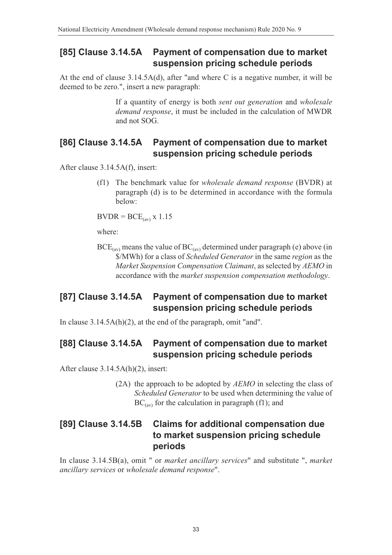#### **[85] Clause 3.14.5A Payment of compensation due to market suspension pricing schedule periods**

At the end of clause 3.14.5A(d), after "and where C is a negative number, it will be deemed to be zero.", insert a new paragraph:

> If a quantity of energy is both *sent out generation* and *wholesale demand response*, it must be included in the calculation of MWDR and not SOG.

### **[86] Clause 3.14.5A Payment of compensation due to market suspension pricing schedule periods**

After clause 3.14.5A(f), insert:

(f1) The benchmark value for *wholesale demand response* (BVDR) at paragraph (d) is to be determined in accordance with the formula below:

 $BVDR = BCE_{(av)}$  x 1.15

where:

 $BCE_{(av)}$  means the value of  $BC_{(av)}$  determined under paragraph (e) above (in \$/MWh) for a class of *Scheduled Generator* in the same *region* as the *Market Suspension Compensation Claimant*, as selected by *AEMO* in accordance with the *market suspension compensation methodology*.

#### **[87] Clause 3.14.5A Payment of compensation due to market suspension pricing schedule periods**

In clause 3.14.5A(h)(2), at the end of the paragraph, omit "and".

### **[88] Clause 3.14.5A Payment of compensation due to market suspension pricing schedule periods**

After clause 3.14.5A(h)(2), insert:

(2A) the approach to be adopted by *AEMO* in selecting the class of *Scheduled Generator* to be used when determining the value of  $BC_{(av)}$  for the calculation in paragraph (f1); and

#### **[89] Clause 3.14.5B Claims for additional compensation due to market suspension pricing schedule periods**

In clause 3.14.5B(a), omit " or *market ancillary services*" and substitute ", *market ancillary services* or *wholesale demand response*".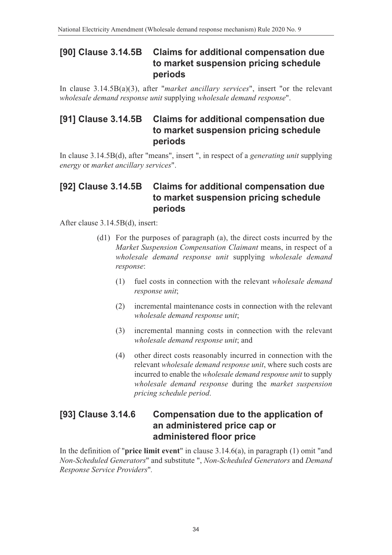#### **[90] Clause 3.14.5B Claims for additional compensation due to market suspension pricing schedule periods**

In clause 3.14.5B(a)(3), after "*market ancillary services*", insert "or the relevant *wholesale demand response unit* supplying *wholesale demand response*".

### **[91] Clause 3.14.5B Claims for additional compensation due to market suspension pricing schedule periods**

In clause 3.14.5B(d), after "means", insert ", in respect of a *generating unit* supplying *energy* or *market ancillary services*".

#### **[92] Clause 3.14.5B Claims for additional compensation due to market suspension pricing schedule periods**

After clause 3.14.5B(d), insert:

- (d1) For the purposes of paragraph (a), the direct costs incurred by the *Market Suspension Compensation Claimant* means, in respect of a *wholesale demand response unit* supplying *wholesale demand response*:
	- (1) fuel costs in connection with the relevant *wholesale demand response unit*;
	- (2) incremental maintenance costs in connection with the relevant *wholesale demand response unit*;
	- (3) incremental manning costs in connection with the relevant *wholesale demand response unit*; and
	- (4) other direct costs reasonably incurred in connection with the relevant *wholesale demand response unit*, where such costs are incurred to enable the *wholesale demand response unit* to supply *wholesale demand response* during the *market suspension pricing schedule period*.

### **[93] Clause 3.14.6 Compensation due to the application of an administered price cap or administered floor price**

In the definition of "**price limit event**" in clause 3.14.6(a), in paragraph (1) omit "and *Non-Scheduled Generators*" and substitute ", *Non-Scheduled Generators* and *Demand Response Service Providers*"*.*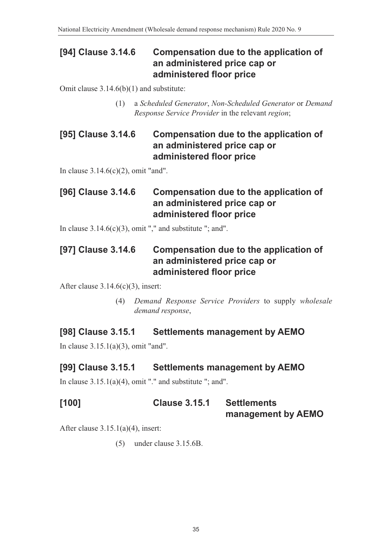#### **[94] Clause 3.14.6 Compensation due to the application of an administered price cap or administered floor price**

Omit clause 3.14.6(b)(1) and substitute:

(1) a *Scheduled Generator*, *Non-Scheduled Generator* or *Demand Response Service Provider* in the relevant *region*;

#### **[95] Clause 3.14.6 Compensation due to the application of an administered price cap or administered floor price**

In clause 3.14.6(c)(2), omit "and".

# **[96] Clause 3.14.6 Compensation due to the application of an administered price cap or administered floor price**

In clause  $3.14.6(c)(3)$ , omit "," and substitute "; and".

### **[97] Clause 3.14.6 Compensation due to the application of an administered price cap or administered floor price**

After clause  $3.14.6(c)(3)$ , insert:

(4) *Demand Response Service Providers* to supply *wholesale demand response*,

# **[98] Clause 3.15.1 Settlements management by AEMO**

In clause 3.15.1(a)(3), omit "and".

#### **[99] Clause 3.15.1 Settlements management by AEMO**

In clause  $3.15.1(a)(4)$ , omit "." and substitute "; and".

**[100] Clause 3.15.1 Settlements management by AEMO**

After clause 3.15.1(a)(4), insert:

(5) under clause 3.15.6B.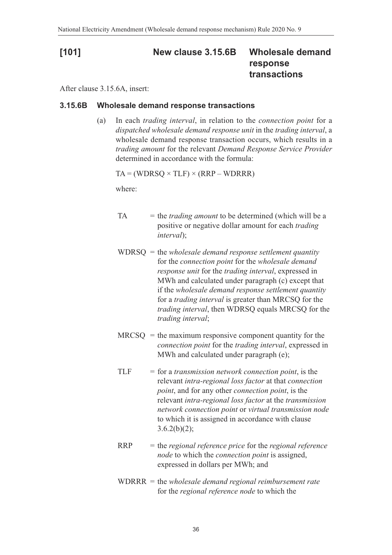### **[101] New clause 3.15.6B Wholesale demand response transactions**

After clause 3.15.6A, insert:

#### **3.15.6B Wholesale demand response transactions**

(a) In each *trading interval*, in relation to the *connection point* for a *dispatched wholesale demand response unit* in the *trading interval*, a wholesale demand response transaction occurs, which results in a *trading amount* for the relevant *Demand Response Service Provider* determined in accordance with the formula:

 $TA = (WDRSO \times TLF) \times (RRP - WDRRR)$ 

where:

- $TA =$  the *trading amount* to be determined (which will be a positive or negative dollar amount for each *trading interval*);
- WDRSQ = the *wholesale demand response settlement quantity* for the *connection point* for the *wholesale demand response unit* for the *trading interval*, expressed in MWh and calculated under paragraph (c) except that if the *wholesale demand response settlement quantity* for a *trading interval* is greater than MRCSQ for the *trading interval*, then WDRSQ equals MRCSQ for the *trading interval*;
- $MRCSQ =$  the maximum responsive component quantity for the *connection point* for the *trading interval*, expressed in MWh and calculated under paragraph (e);
- TLF = for a *transmission network connection point*, is the relevant *intra-regional loss factor* at that *connection point*, and for any other *connection point*, is the relevant *intra-regional loss factor* at the *transmission network connection point* or *virtual transmission node* to which it is assigned in accordance with clause  $3.6.2(b)(2);$
- RRP = the *regional reference price* for the *regional reference node* to which the *connection point* is assigned, expressed in dollars per MWh; and
- WDRRR = the *wholesale demand regional reimbursement rate* for the *regional reference node* to which the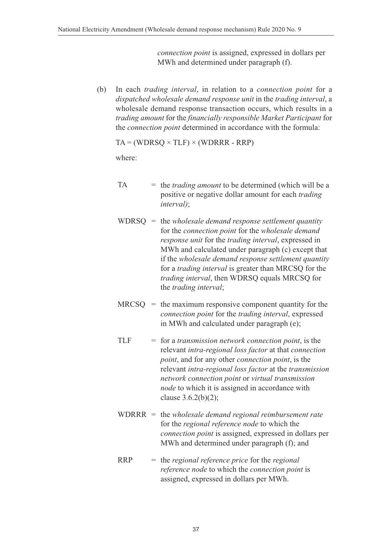*connection point* is assigned, expressed in dollars per MWh and determined under paragraph (f).

(b) In each *trading interval*, in relation to a *connection point* for a *dispatched wholesale demand response unit* in the *trading interval*, a wholesale demand response transaction occurs, which results in a *trading amount* for the *financially responsible Market Participant* for the *connection point* determined in accordance with the formula:

 $TA = (WDRSQ \times TLF) \times (WDRRR - RRP)$ 

where:

- TA = the *trading amount* to be determined (which will be a positive or negative dollar amount for each *trading interval)*;
- WDRSQ = the *wholesale demand response settlement quantity* for the *connection point* for the *wholesale demand response unit* for the *trading interval*, expressed in MWh and calculated under paragraph (c) except that if the *wholesale demand response settlement quantity* for a *trading interval* is greater than MRCSQ for the *trading interval*, then WDRSQ equals MRCSQ for the *trading interval*;
- $MRCSQ =$  the maximum responsive component quantity for the *connection point* for the *trading interval*, expressed in MWh and calculated under paragraph (e);
- TLF = for a *transmission network connection point*, is the relevant *intra-regional loss factor* at that *connection point*, and for any other *connection point*, is the relevant *intra-regional loss factor* at the *transmission network connection point* or *virtual transmission node* to which it is assigned in accordance with clause 3.6.2(b)(2);
- WDRRR = the *wholesale demand regional reimbursement rate* for the *regional reference node* to which the *connection point* is assigned, expressed in dollars per MWh and determined under paragraph (f); and
- RRP = the *regional reference price* for the *regional reference node* to which the *connection point* is assigned, expressed in dollars per MWh.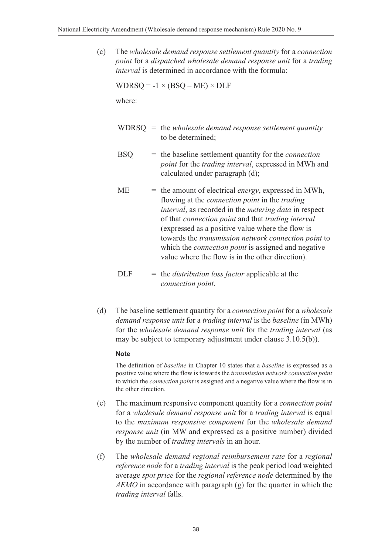(c) The *wholesale demand response settlement quantity* for a *connection point* for a *dispatched wholesale demand response unit* for a *trading interval* is determined in accordance with the formula:

 $WDRSO = -1 \times (BSO - ME) \times DLF$ 

where:

- WDRSQ = the *wholesale demand response settlement quantity* to be determined;
- BSQ = the baseline settlement quantity for the *connection point* for the *trading interval*, expressed in MWh and calculated under paragraph (d);
- ME = the amount of electrical *energy*, expressed in MWh, flowing at the *connection point* in the *trading interval*, as recorded in the *metering data* in respect of that *connection point* and that *trading interval* (expressed as a positive value where the flow is towards the *transmission network connection point* to which the *connection point* is assigned and negative value where the flow is in the other direction).
- DLF = the *distribution loss factor* applicable at the *connection point*.
- (d) The baseline settlement quantity for a *connection point* for a *wholesale demand response unit* for a *trading interval* is the *baseline* (in MWh) for the *wholesale demand response unit* for the *trading interval* (as may be subject to temporary adjustment under clause 3.10.5(b)).

#### **Note**

The definition of *baseline* in Chapter 10 states that a *baseline* is expressed as a positive value where the flow is towards the *transmission network connection point* to which the *connection point* is assigned and a negative value where the flow is in the other direction.

- (e) The maximum responsive component quantity for a *connection point* for a *wholesale demand response unit* for a *trading interval* is equal to the *maximum responsive component* for the *wholesale demand response unit* (in MW and expressed as a positive number) divided by the number of *trading intervals* in an hour.
- (f) The *wholesale demand regional reimbursement rate* for a *regional reference node* for a *trading interval* is the peak period load weighted average *spot price* for the *regional reference node* determined by the *AEMO* in accordance with paragraph (g) for the quarter in which the *trading interval* falls.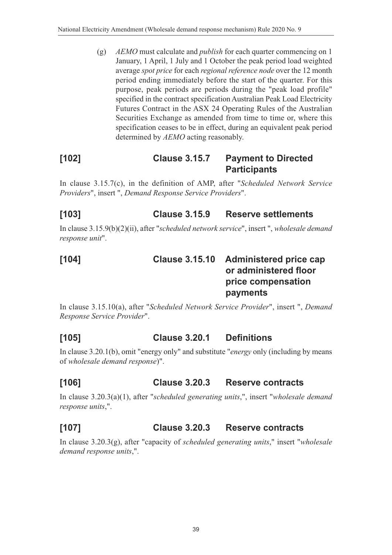(g) *AEMO* must calculate and *publish* for each quarter commencing on 1 January, 1 April, 1 July and 1 October the peak period load weighted average *spot price* for each *regional reference node* over the 12 month period ending immediately before the start of the quarter. For this purpose, peak periods are periods during the "peak load profile" specified in the contract specification Australian Peak Load Electricity Futures Contract in the ASX 24 Operating Rules of the Australian Securities Exchange as amended from time to time or, where this specification ceases to be in effect, during an equivalent peak period determined by *AEMO* acting reasonably.

### **[102] Clause 3.15.7 Payment to Directed Participants**

In clause 3.15.7(c), in the definition of AMP, after "*Scheduled Network Service Providers*", insert ", *Demand Response Service Providers*".

# **[103] Clause 3.15.9 Reserve settlements**

In clause 3.15.9(b)(2)(ii), after "*scheduled network service*", insert ", *wholesale demand response unit*".

| [104] | Clause 3.15.10 Administered price cap |
|-------|---------------------------------------|
|       | or administered floor                 |
|       | price compensation                    |
|       | payments                              |

In clause 3.15.10(a), after "*Scheduled Network Service Provider*", insert ", *Demand Response Service Provider*".

# **[105] Clause 3.20.1 Definitions**

In clause 3.20.1(b), omit "energy only" and substitute "*energy* only (including by means of *wholesale demand response*)".

# **[106] Clause 3.20.3 Reserve contracts**

In clause 3.20.3(a)(1), after "*scheduled generating units*,", insert "*wholesale demand response units*,".

# **[107] Clause 3.20.3 Reserve contracts**

In clause 3.20.3(g), after "capacity of *scheduled generating units*," insert "*wholesale demand response units*,".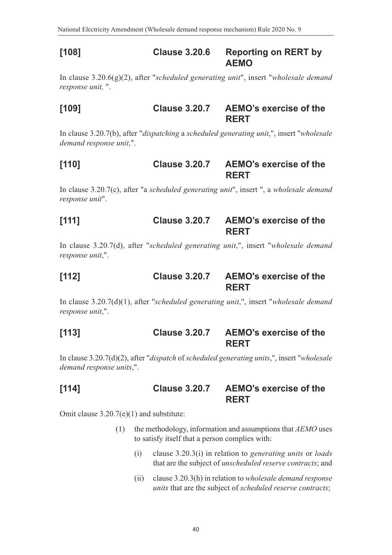#### **[108] Clause 3.20.6 Reporting on RERT by AEMO**

In clause 3.20.6(g)(2), after "*scheduled generating unit*", insert "*wholesale demand response unit,* ".

#### **[109] Clause 3.20.7 AEMO's exercise of the RERT**

In clause 3.20.7(b), after "*dispatching* a *scheduled generating unit*,", insert "*wholesale demand response unit*,".

#### **[110] Clause 3.20.7 AEMO's exercise of the RERT**

In clause 3.20.7(c), after "a *scheduled generating unit*", insert ", a *wholesale demand response unit*".

#### **[111] Clause 3.20.7 AEMO's exercise of the RERT**

In clause 3.20.7(d), after "*scheduled generating unit*,", insert "*wholesale demand response unit*,".

#### **[112] Clause 3.20.7 AEMO's exercise of the RERT**

In clause 3.20.7(d)(1), after "*scheduled generating unit*,", insert "*wholesale demand response unit*,".

#### **[113] Clause 3.20.7 AEMO's exercise of the RERT**

In clause 3.20.7(d)(2), after "*dispatch* of *scheduled generating units*,", insert "*wholesale demand response units*,".

#### **[114] Clause 3.20.7 AEMO's exercise of the RERT**

Omit clause 3.20.7(e)(1) and substitute:

- (1) the methodology, information and assumptions that *AEMO* uses to satisfy itself that a person complies with:
	- (i) clause 3.20.3(i) in relation to *generating units* or *loads* that are the subject of *unscheduled reserve contracts*; and
	- (ii) clause 3.20.3(h) in relation to *wholesale demand response units* that are the subject of *scheduled reserve contracts*;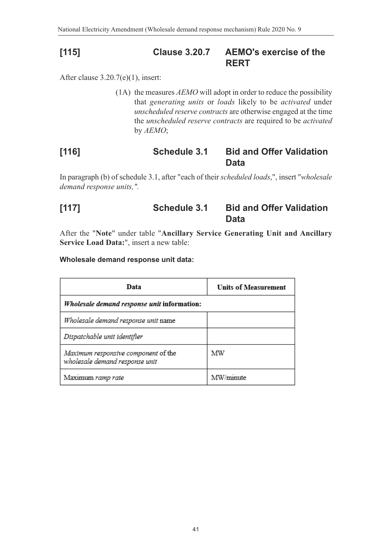#### **[115] Clause 3.20.7 AEMO's exercise of the RERT**

After clause 3.20.7(e)(1), insert:

(1A) the measures *AEMO* will adopt in order to reduce the possibility that *generating units* or *loads* likely to be *activated* under *unscheduled reserve contracts* are otherwise engaged at the time the *unscheduled reserve contracts* are required to be *activated* by *AEMO*;

#### **[116] Schedule 3.1 Bid and Offer Validation Data**

In paragraph (b) of schedule 3.1, after "each of their *scheduled loads*,", insert "*wholesale demand response units,".*

#### **[117] Schedule 3.1 Bid and Offer Validation Data**

After the "**Note**" under table "**Ancillary Service Generating Unit and Ancillary Service Load Data:**", insert a new table:

#### **Wholesale demand response unit data:**

| Data                                                                  | <b>Units of Measurement</b> |  |
|-----------------------------------------------------------------------|-----------------------------|--|
| Wholesale demand response unit information:                           |                             |  |
| Wholesale demand response unit name                                   |                             |  |
| Dispatchable unit identifier                                          |                             |  |
| Maximum responsive component of the<br>wholesale demand response unit | ΜW                          |  |
| Maximum ramp rate                                                     | MW/minute                   |  |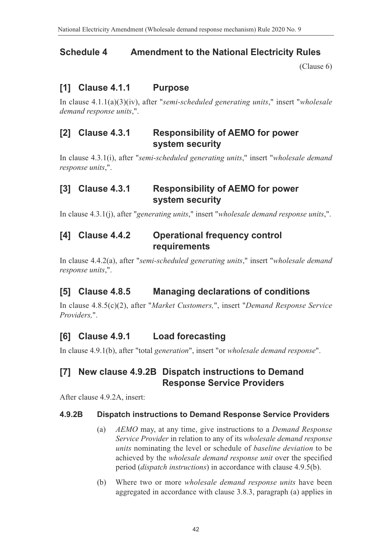# **Schedule 4 Amendment to the National Electricity Rules**

<span id="page-42-0"></span>[\(Clause 6\)](#page-2-3)

### **[1] Clause 4.1.1 Purpose**

In clause 4.1.1(a)(3)(iv), after "*semi-scheduled generating units*," insert "*wholesale demand response units*,".

#### **[2] Clause 4.3.1 Responsibility of AEMO for power system security**

In clause 4.3.1(i), after "*semi-scheduled generating units*," insert "*wholesale demand response units*,".

#### **[3] Clause 4.3.1 Responsibility of AEMO for power system security**

In clause 4.3.1(j), after "*generating units*," insert "*wholesale demand response units*,".

#### **[4] Clause 4.4.2 Operational frequency control requirements**

In clause 4.4.2(a), after "*semi-scheduled generating units*," insert "*wholesale demand response units*,".

# **[5] Clause 4.8.5 Managing declarations of conditions**

In clause 4.8.5(c)(2), after "*Market Customers,*", insert "*Demand Response Service Providers,*".

# **[6] Clause 4.9.1 Load forecasting**

In clause 4.9.1(b), after "total *generation*", insert "or *wholesale demand response*".

#### **[7] New clause 4.9.2B Dispatch instructions to Demand Response Service Providers**

After clause 4.9.2A, insert:

#### **4.9.2B Dispatch instructions to Demand Response Service Providers**

- (a) *AEMO* may, at any time, give instructions to a *Demand Response Service Provider* in relation to any of its *wholesale demand response units* nominating the level or schedule of *baseline deviation* to be achieved by the *wholesale demand response unit* over the specified period (*dispatch instructions*) in accordance with clause 4.9.5(b).
- (b) Where two or more *wholesale demand response units* have been aggregated in accordance with clause 3.8.3, paragraph (a) applies in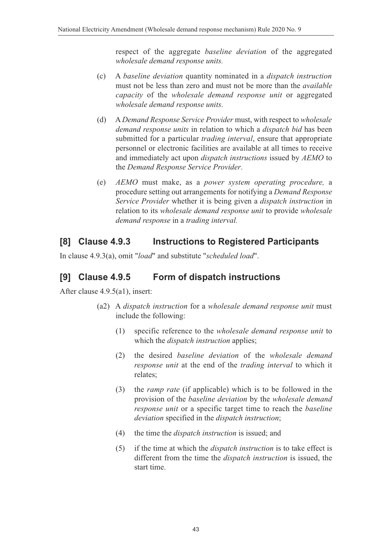respect of the aggregate *baseline deviation* of the aggregated *wholesale demand response units.*

- (c) A *baseline deviation* quantity nominated in a *dispatch instruction* must not be less than zero and must not be more than the *available capacity* of the *wholesale demand response unit* or aggregated *wholesale demand response units*.
- (d) A *Demand Response Service Provider* must, with respect to *wholesale demand response units* in relation to which a *dispatch bid* has been submitted for a particular *trading interval*, ensure that appropriate personnel or electronic facilities are available at all times to receive and immediately act upon *dispatch instructions* issued by *AEMO* to the *Demand Response Service Provider*.
- (e) *AEMO* must make, as a *power system operating procedure,* a procedure setting out arrangements for notifying a *Demand Response Service Provider* whether it is being given a *dispatch instruction* in relation to its *wholesale demand response unit* to provide *wholesale demand response* in a *trading interval.*

#### **[8] Clause 4.9.3 Instructions to Registered Participants**

In clause 4.9.3(a), omit "*load*" and substitute "*scheduled load*".

### **[9] Clause 4.9.5 Form of dispatch instructions**

After clause 4.9.5(a1), insert:

- (a2) A *dispatch instruction* for a *wholesale demand response unit* must include the following:
	- (1) specific reference to the *wholesale demand response unit* to which the *dispatch instruction* applies;
	- (2) the desired *baseline deviation* of the *wholesale demand response unit* at the end of the *trading interval* to which it relates;
	- (3) the *ramp rate* (if applicable) which is to be followed in the provision of the *baseline deviation* by the *wholesale demand response unit* or a specific target time to reach the *baseline deviation* specified in the *dispatch instruction*;
	- (4) the time the *dispatch instruction* is issued; and
	- (5) if the time at which the *dispatch instruction* is to take effect is different from the time the *dispatch instruction* is issued, the start time.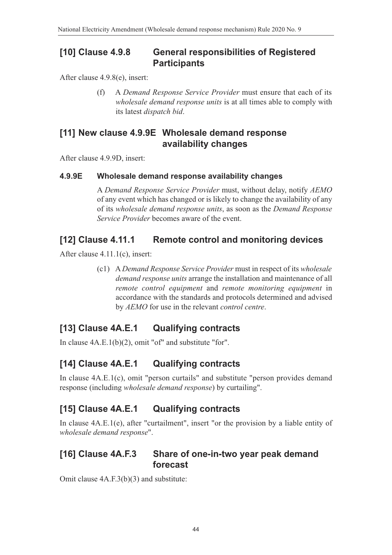#### **[10] Clause 4.9.8 General responsibilities of Registered Participants**

After clause 4.9.8(e), insert:

(f) A *Demand Response Service Provider* must ensure that each of its *wholesale demand response units* is at all times able to comply with its latest *dispatch bid*.

#### **[11] New clause 4.9.9E Wholesale demand response availability changes**

After clause 4.9.9D, insert:

#### **4.9.9E Wholesale demand response availability changes**

A *Demand Response Service Provider* must, without delay, notify *AEMO* of any event which has changed or is likely to change the availability of any of its *wholesale demand response units*, as soon as the *Demand Response Service Provider* becomes aware of the event.

### **[12] Clause 4.11.1 Remote control and monitoring devices**

After clause 4.11.1(c), insert:

(c1) A *Demand Response Service Provider* must in respect of its *wholesale demand response units* arrange the installation and maintenance of all *remote control equipment* and *remote monitoring equipment* in accordance with the standards and protocols determined and advised by *AEMO* for use in the relevant *control centre*.

# **[13] Clause 4A.E.1 Qualifying contracts**

In clause 4A.E.1(b)(2), omit "of" and substitute "for".

# **[14] Clause 4A.E.1 Qualifying contracts**

In clause 4A.E.1(c), omit "person curtails" and substitute "person provides demand response (including *wholesale demand response*) by curtailing".

# **[15] Clause 4A.E.1 Qualifying contracts**

In clause 4A.E.1(e), after "curtailment", insert "or the provision by a liable entity of *wholesale demand response*".

### **[16] Clause 4A.F.3 Share of one-in-two year peak demand forecast**

Omit clause 4A.F.3(b)(3) and substitute: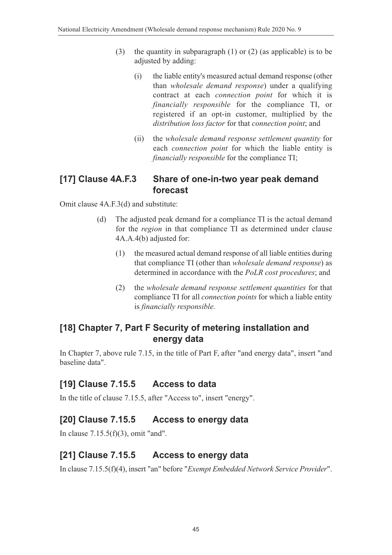- (3) the quantity in subparagraph (1) or (2) (as applicable) is to be adjusted by adding:
	- (i) the liable entity's measured actual demand response (other than *wholesale demand response*) under a qualifying contract at each *connection point* for which it is *financially responsible* for the compliance TI, or registered if an opt-in customer, multiplied by the *distribution loss factor* for that *connection point*; and
	- (ii) the *wholesale demand response settlement quantity* for each *connection point* for which the liable entity is *financially responsible* for the compliance TI;

#### **[17] Clause 4A.F.3 Share of one-in-two year peak demand forecast**

Omit clause 4A.F.3(d) and substitute:

- (d) The adjusted peak demand for a compliance TI is the actual demand for the *region* in that compliance TI as determined under clause 4A.A.4(b) adjusted for:
	- (1) the measured actual demand response of all liable entities during that compliance TI (other than *wholesale demand response*) as determined in accordance with the *PoLR cost procedures*; and
	- (2) the *wholesale demand response settlement quantities* for that compliance TI for all *connection points* for which a liable entity is *financially responsible.*

### **[18] Chapter 7, Part F Security of metering installation and energy data**

In Chapter 7, above rule 7.15, in the title of Part F, after "and energy data", insert "and baseline data".

# **[19] Clause 7.15.5 Access to data**

In the title of clause 7.15.5, after "Access to", insert "energy".

# **[20] Clause 7.15.5 Access to energy data**

In clause 7.15.5(f)(3), omit "and".

# **[21] Clause 7.15.5 Access to energy data**

In clause 7.15.5(f)(4), insert "an" before "*Exempt Embedded Network Service Provider*".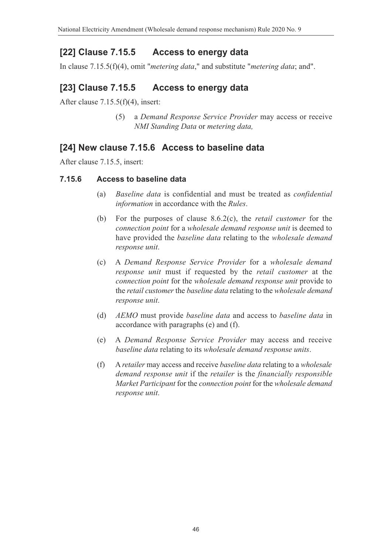# **[22] Clause 7.15.5 Access to energy data**

In clause 7.15.5(f)(4), omit "*metering data*," and substitute "*metering data*; and".

### **[23] Clause 7.15.5 Access to energy data**

After clause 7.15.5(f)(4), insert:

(5) a *Demand Response Service Provider* may access or receive *NMI Standing Data* or *metering data,*

#### **[24] New clause 7.15.6 Access to baseline data**

After clause 7.15.5, insert:

#### **7.15.6 Access to baseline data**

- (a) *Baseline data* is confidential and must be treated as *confidential information* in accordance with the *Rules*.
- (b) For the purposes of clause 8.6.2(c), the *retail customer* for the *connection point* for a *wholesale demand response unit* is deemed to have provided the *baseline data* relating to the *wholesale demand response unit*.
- (c) A *Demand Response Service Provider* for a *wholesale demand response unit* must if requested by the *retail customer* at the *connection point* for the *wholesale demand response unit* provide to the *retail customer* the *baseline data* relating to the *wholesale demand response unit*.
- (d) *AEMO* must provide *baseline data* and access to *baseline data* in accordance with paragraphs (e) and (f).
- (e) A *Demand Response Service Provider* may access and receive *baseline data* relating to its *wholesale demand response units*.
- (f) A *retailer* may access and receive *baseline data* relating to a *wholesale demand response unit* if the *retailer* is the *financially responsible Market Participant* for the *connection point* for the *wholesale demand response unit*.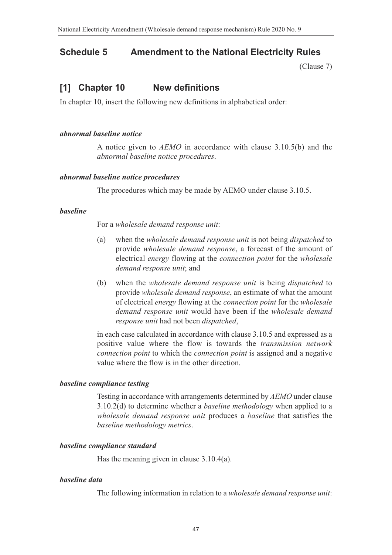#### **Schedule 5 Amendment to the National Electricity Rules**

<span id="page-47-0"></span>[\(Clause 7\)](#page-2-4)

#### **[1] Chapter 10 New definitions**

In chapter 10, insert the following new definitions in alphabetical order:

#### *abnormal baseline notice*

A notice given to *AEMO* in accordance with clause 3.10.5(b) and the *abnormal baseline notice procedures*.

#### *abnormal baseline notice procedures*

The procedures which may be made by AEMO under clause 3.10.5.

#### *baseline*

For a *wholesale demand response unit*:

- (a) when the *wholesale demand response unit* is not being *dispatched* to provide *wholesale demand response*, a forecast of the amount of electrical *energy* flowing at the *connection point* for the *wholesale demand response unit*; and
- (b) when the *wholesale demand response unit* is being *dispatched* to provide *wholesale demand response*, an estimate of what the amount of electrical *energy* flowing at the *connection point* for the *wholesale demand response unit* would have been if the *wholesale demand response unit* had not been *dispatched*,

in each case calculated in accordance with clause 3.10.5 and expressed as a positive value where the flow is towards the *transmission network connection point* to which the *connection point* is assigned and a negative value where the flow is in the other direction.

#### *baseline compliance testing*

Testing in accordance with arrangements determined by *AEMO* under clause 3.10.2(d) to determine whether a *baseline methodology* when applied to a *wholesale demand response unit* produces a *baseline* that satisfies the *baseline methodology metrics*.

#### *baseline compliance standard*

Has the meaning given in clause 3.10.4(a).

#### *baseline data*

The following information in relation to a *wholesale demand response unit*: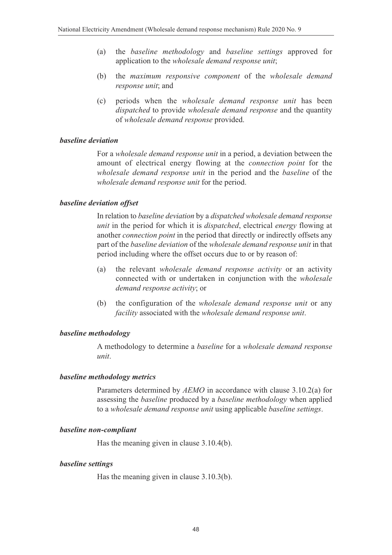- (a) the *baseline methodology* and *baseline settings* approved for application to the *wholesale demand response unit*;
- (b) the *maximum responsive component* of the *wholesale demand response unit*; and
- (c) periods when the *wholesale demand response unit* has been *dispatched* to provide *wholesale demand response* and the quantity of *wholesale demand response* provided.

#### *baseline deviation*

For a *wholesale demand response unit* in a period, a deviation between the amount of electrical energy flowing at the *connection point* for the *wholesale demand response unit* in the period and the *baseline* of the *wholesale demand response unit* for the period.

#### *baseline deviation offset*

In relation to *baseline deviation* by a *dispatched wholesale demand response unit* in the period for which it is *dispatched*, electrical *energy* flowing at another *connection point* in the period that directly or indirectly offsets any part of the *baseline deviation* of the *wholesale demand response unit* in that period including where the offset occurs due to or by reason of:

- (a) the relevant *wholesale demand response activity* or an activity connected with or undertaken in conjunction with the *wholesale demand response activity*; or
- (b) the configuration of the *wholesale demand response unit* or any *facility* associated with the *wholesale demand response unit*.

#### *baseline methodology*

A methodology to determine a *baseline* for a *wholesale demand response unit*.

#### *baseline methodology metrics*

Parameters determined by *AEMO* in accordance with clause 3.10.2(a) for assessing the *baseline* produced by a *baseline methodology* when applied to a *wholesale demand response unit* using applicable *baseline settings*.

#### *baseline non-compliant*

Has the meaning given in clause 3.10.4(b).

#### *baseline settings*

Has the meaning given in clause 3.10.3(b).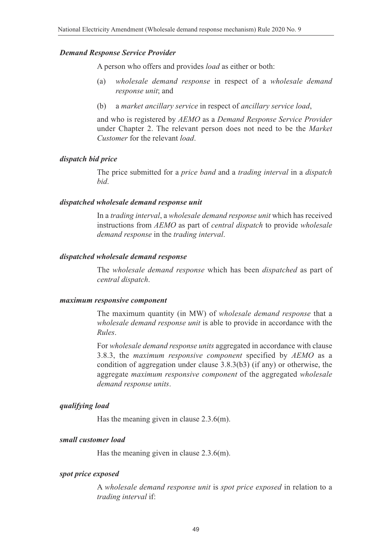#### *Demand Response Service Provider*

A person who offers and provides *load* as either or both:

- (a) *wholesale demand response* in respect of a *wholesale demand response unit*; and
- (b) a *market ancillary service* in respect of *ancillary service load*,

and who is registered by *AEMO* as a *Demand Response Service Provider* under Chapter 2. The relevant person does not need to be the *Market Customer* for the relevant *load*.

#### *dispatch bid price*

The price submitted for a *price band* and a *trading interval* in a *dispatch bid*.

#### *dispatched wholesale demand response unit*

In a *trading interval*, a *wholesale demand response unit* which has received instructions from *AEMO* as part of *central dispatch* to provide *wholesale demand response* in the *trading interval*.

#### *dispatched wholesale demand response*

The *wholesale demand response* which has been *dispatched* as part of *central dispatch*.

#### *maximum responsive component*

The maximum quantity (in MW) of *wholesale demand response* that a *wholesale demand response unit* is able to provide in accordance with the *Rules*.

For *wholesale demand response units* aggregated in accordance with clause 3.8.3, the *maximum responsive component* specified by *AEMO* as a condition of aggregation under clause 3.8.3(b3) (if any) or otherwise, the aggregate *maximum responsive component* of the aggregated *wholesale demand response units*.

#### *qualifying load*

Has the meaning given in clause 2.3.6(m).

#### *small customer load*

Has the meaning given in clause 2.3.6(m).

#### *spot price exposed*

A *wholesale demand response unit* is *spot price exposed* in relation to a *trading interval* if: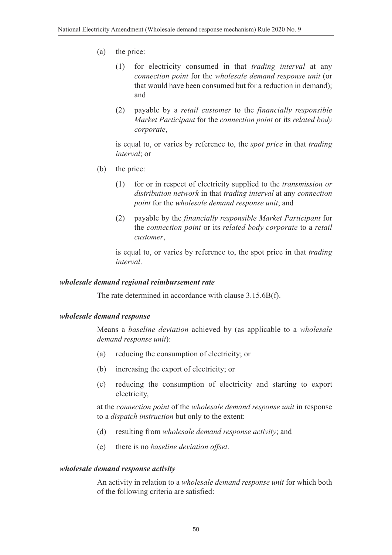- (a) the price:
	- (1) for electricity consumed in that *trading interval* at any *connection point* for the *wholesale demand response unit* (or that would have been consumed but for a reduction in demand); and
	- (2) payable by a *retail customer* to the *financially responsible Market Participant* for the *connection point* or its *related body corporate*,

is equal to, or varies by reference to, the *spot price* in that *trading interval*; or

- (b) the price:
	- (1) for or in respect of electricity supplied to the *transmission or distribution network* in that *trading interval* at any *connection point* for the *wholesale demand response unit*; and
	- (2) payable by the *financially responsible Market Participant* for the *connection point* or its *related body corporate* to a *retail customer*,

is equal to, or varies by reference to, the spot price in that *trading interval*.

#### *wholesale demand regional reimbursement rate*

The rate determined in accordance with clause 3.15.6B(f).

#### *wholesale demand response*

Means a *baseline deviation* achieved by (as applicable to a *wholesale demand response unit*):

- (a) reducing the consumption of electricity; or
- (b) increasing the export of electricity; or
- (c) reducing the consumption of electricity and starting to export electricity,

at the *connection point* of the *wholesale demand response unit* in response to a *dispatch instruction* but only to the extent:

- (d) resulting from *wholesale demand response activity*; and
- (e) there is no *baseline deviation offset*.

#### *wholesale demand response activity*

An activity in relation to a *wholesale demand response unit* for which both of the following criteria are satisfied: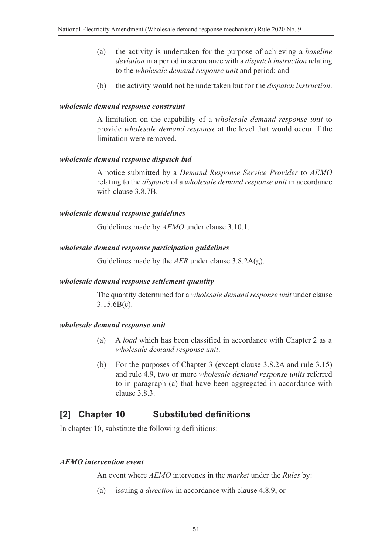- (a) the activity is undertaken for the purpose of achieving a *baseline deviation* in a period in accordance with a *dispatch instruction* relating to the *wholesale demand response unit* and period; and
- (b) the activity would not be undertaken but for the *dispatch instruction*.

#### *wholesale demand response constraint*

A limitation on the capability of a *wholesale demand response unit* to provide *wholesale demand response* at the level that would occur if the limitation were removed.

#### *wholesale demand response dispatch bid*

A notice submitted by a *Demand Response Service Provider* to *AEMO* relating to the *dispatch* of a *wholesale demand response unit* in accordance with clause 3.8.7B.

#### *wholesale demand response guidelines*

Guidelines made by *AEMO* under clause 3.10.1.

#### *wholesale demand response participation guidelines*

Guidelines made by the *AER* under clause 3.8.2A(g).

#### *wholesale demand response settlement quantity*

The quantity determined for a *wholesale demand response unit* under clause 3.15.6B(c).

#### *wholesale demand response unit*

- (a) A *load* which has been classified in accordance with Chapter 2 as a *wholesale demand response unit*.
- (b) For the purposes of Chapter 3 (except clause 3.8.2A and rule 3.15) and rule 4.9, two or more *wholesale demand response units* referred to in paragraph (a) that have been aggregated in accordance with clause 3.8.3.

#### **[2] Chapter 10 Substituted definitions**

In chapter 10, substitute the following definitions:

#### *AEMO intervention event*

An event where *AEMO* intervenes in the *market* under the *Rules* by:

(a) issuing a *direction* in accordance with clause 4.8.9; or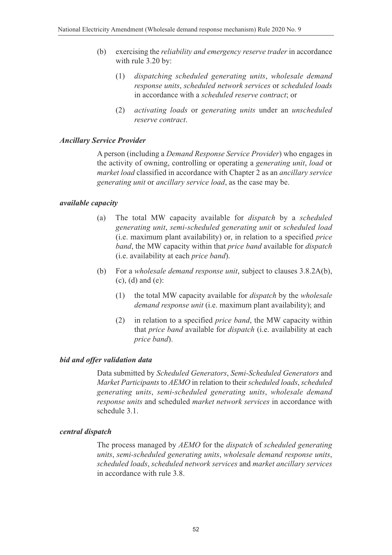- (b) exercising the *reliability and emergency reserve trader* in accordance with rule 3.20 by:
	- (1) *dispatching scheduled generating units*, *wholesale demand response units*, *scheduled network services* or *scheduled loads* in accordance with a *scheduled reserve contract*; or
	- (2) *activating loads* or *generating units* under an *unscheduled reserve contract*.

#### *Ancillary Service Provider*

A person (including a *Demand Response Service Provider*) who engages in the activity of owning, controlling or operating a *generating unit*, *load* or *market load* classified in accordance with Chapter 2 as an *ancillary service generating unit* or *ancillary service load*, as the case may be.

#### *available capacity*

- (a) The total MW capacity available for *dispatch* by a *scheduled generating unit*, *semi-scheduled generating unit* or *scheduled load* (i.e. maximum plant availability) or, in relation to a specified *price band*, the MW capacity within that *price band* available for *dispatch* (i.e. availability at each *price band*).
- (b) For a *wholesale demand response unit*, subject to clauses 3.8.2A(b), (c), (d) and (e):
	- (1) the total MW capacity available for *dispatch* by the *wholesale demand response unit* (i.e. maximum plant availability); and
	- (2) in relation to a specified *price band*, the MW capacity within that *price band* available for *dispatch* (i.e. availability at each *price band*).

#### *bid and offer validation data*

Data submitted by *Scheduled Generators*, *Semi-Scheduled Generators* and *Market Participants* to *AEMO* in relation to their *scheduled loads*, *scheduled generating units*, *semi-scheduled generating units*, *wholesale demand response units* and scheduled *market network services* in accordance with schedule 3.1.

#### *central dispatch*

The process managed by *AEMO* for the *dispatch* of *scheduled generating units*, *semi-scheduled generating units*, *wholesale demand response units*, *scheduled loads*, *scheduled network services* and *market ancillary services* in accordance with rule 3.8.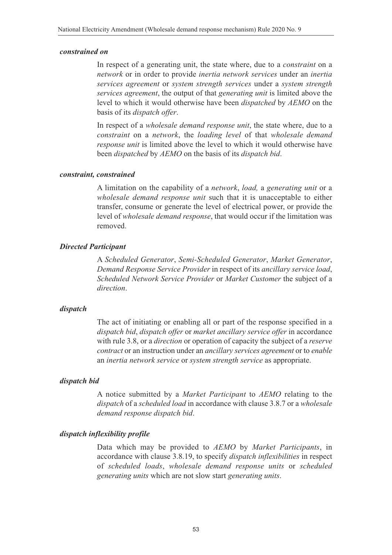#### *constrained on*

In respect of a generating unit, the state where, due to a *constraint* on a *network* or in order to provide *inertia network services* under an *inertia services agreement* or *system strength services* under a *system strength services agreement*, the output of that *generating unit* is limited above the level to which it would otherwise have been *dispatched* by *AEMO* on the basis of its *dispatch offer*.

In respect of a *wholesale demand response unit*, the state where, due to a *constraint* on a *network*, the *loading level* of that *wholesale demand response unit* is limited above the level to which it would otherwise have been *dispatched* by *AEMO* on the basis of its *dispatch bid*.

#### *constraint, constrained*

A limitation on the capability of a *network*, *load,* a *generating unit* or a *wholesale demand response unit* such that it is unacceptable to either transfer, consume or generate the level of electrical power, or provide the level of *wholesale demand response*, that would occur if the limitation was removed.

#### *Directed Participant*

A *Scheduled Generator*, *Semi-Scheduled Generator*, *Market Generator*, *Demand Response Service Provider* in respect of its *ancillary service load*, *Scheduled Network Service Provider* or *Market Customer* the subject of a *direction*.

#### *dispatch*

The act of initiating or enabling all or part of the response specified in a *dispatch bid*, *dispatch offer* or *market ancillary service offer* in accordance with rule 3.8, or a *direction* or operation of capacity the subject of a *reserve contract* or an instruction under an *ancillary services agreement* or to *enable* an *inertia network service* or *system strength service* as appropriate.

#### *dispatch bid*

A notice submitted by a *Market Participant* to *AEMO* relating to the *dispatch* of a *scheduled load* in accordance with clause 3.8.7 or a *wholesale demand response dispatch bid*.

#### *dispatch inflexibility profile*

Data which may be provided to *AEMO* by *Market Participants*, in accordance with clause 3.8.19, to specify *dispatch inflexibilities* in respect of *scheduled loads*, *wholesale demand response units* or *scheduled generating units* which are not slow start *generating units*.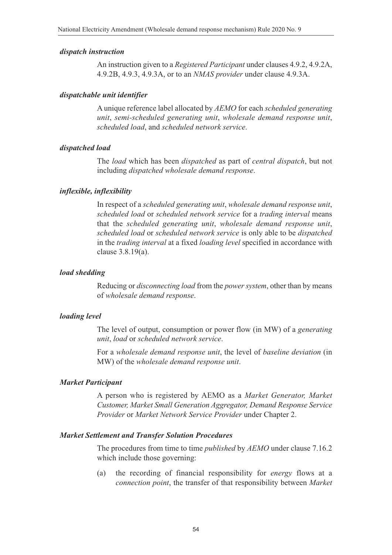#### *dispatch instruction*

An instruction given to a *Registered Participant* under clauses 4.9.2, 4.9.2A, 4.9.2B, 4.9.3, 4.9.3A, or to an *NMAS provider* under clause 4.9.3A.

#### *dispatchable unit identifier*

A unique reference label allocated by *AEMO* for each *scheduled generating unit*, *semi-scheduled generating unit*, *wholesale demand response unit*, *scheduled load*, and *scheduled network service*.

#### *dispatched load*

The *load* which has been *dispatched* as part of *central dispatch*, but not including *dispatched wholesale demand response*.

#### *inflexible, inflexibility*

In respect of a *scheduled generating unit*, *wholesale demand response unit*, *scheduled load* or *scheduled network service* for a *trading interval* means that the *scheduled generating unit*, *wholesale demand response unit*, *scheduled load* or *scheduled network service* is only able to be *dispatched* in the *trading interval* at a fixed *loading level* specified in accordance with clause 3.8.19(a).

#### *load shedding*

Reducing or *disconnecting load* from the *power system*, other than by means of *wholesale demand response*.

#### *loading level*

The level of output, consumption or power flow (in MW) of a *generating unit*, *load* or *scheduled network service*.

For a *wholesale demand response unit*, the level of *baseline deviation* (in MW) of the *wholesale demand response unit*.

#### *Market Participant*

A person who is registered by AEMO as a *Market Generator, Market Customer, Market Small Generation Aggregator, Demand Response Service Provider* or *Market Network Service Provider* under Chapter 2.

#### *Market Settlement and Transfer Solution Procedures*

The procedures from time to time *published* by *AEMO* under clause 7.16.2 which include those governing:

(a) the recording of financial responsibility for *energy* flows at a *connection point*, the transfer of that responsibility between *Market*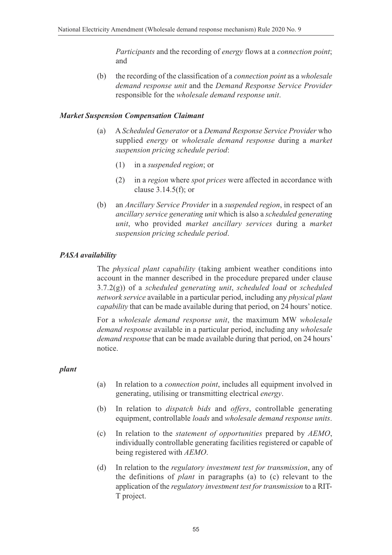*Participants* and the recording of *energy* flows at a *connection point*; and

(b) the recording of the classification of a *connection point* as a *wholesale demand response unit* and the *Demand Response Service Provider* responsible for the *wholesale demand response unit*.

#### *Market Suspension Compensation Claimant*

- (a) A *Scheduled Generator* or a *Demand Response Service Provider* who supplied *energy* or *wholesale demand response* during a *market suspension pricing schedule period*:
	- (1) in a *suspended region*; or
	- (2) in a *region* where *spot prices* were affected in accordance with clause 3.14.5(f); or
- (b) an *Ancillary Service Provider* in a *suspended region*, in respect of an *ancillary service generating unit* which is also a *scheduled generating unit*, who provided *market ancillary services* during a *market suspension pricing schedule period*.

#### *PASA availability*

The *physical plant capability* (taking ambient weather conditions into account in the manner described in the procedure prepared under clause 3.7.2(g)) of a *scheduled generating unit*, *scheduled load* or *scheduled network service* available in a particular period, including any *physical plant capability* that can be made available during that period, on 24 hours' notice.

For a *wholesale demand response unit*, the maximum MW *wholesale demand response* available in a particular period, including any *wholesale demand response* that can be made available during that period, on 24 hours' notice.

#### *plant*

- (a) In relation to a *connection point*, includes all equipment involved in generating, utilising or transmitting electrical *energy*.
- (b) In relation to *dispatch bids* and *offers*, controllable generating equipment, controllable *loads* and *wholesale demand response units*.
- (c) In relation to the *statement of opportunities* prepared by *AEMO*, individually controllable generating facilities registered or capable of being registered with *AEMO*.
- (d) In relation to the *regulatory investment test for transmission*, any of the definitions of *plant* in paragraphs (a) to (c) relevant to the application of the *regulatory investment test for transmission* to a RIT-T project.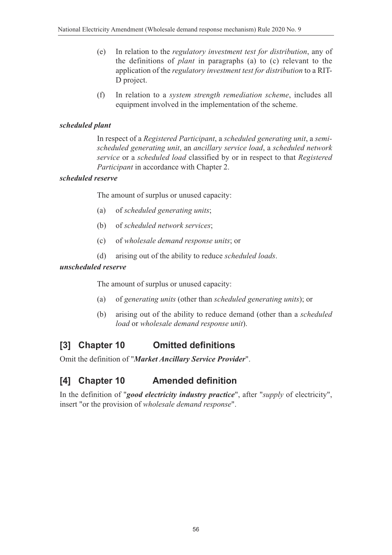- (e) In relation to the *regulatory investment test for distribution*, any of the definitions of *plant* in paragraphs (a) to (c) relevant to the application of the *regulatory investment test for distribution* to a RIT-D project.
- (f) In relation to a *system strength remediation scheme*, includes all equipment involved in the implementation of the scheme.

#### *scheduled plant*

In respect of a *Registered Participant*, a *scheduled generating unit*, a *semischeduled generating unit*, an *ancillary service load*, a *scheduled network service* or a *scheduled load* classified by or in respect to that *Registered Participant* in accordance with Chapter 2.

#### *scheduled reserve*

The amount of surplus or unused capacity:

- (a) of *scheduled generating units*;
- (b) of *scheduled network services*;
- (c) of *wholesale demand response units*; or
- (d) arising out of the ability to reduce *scheduled loads*.

#### *unscheduled reserve*

The amount of surplus or unused capacity:

- (a) of *generating units* (other than *scheduled generating units*); or
- (b) arising out of the ability to reduce demand (other than a *scheduled load* or *wholesale demand response unit*).

#### **[3] Chapter 10 Omitted definitions**

Omit the definition of "*Market Ancillary Service Provider*".

# **[4] Chapter 10 Amended definition**

In the definition of "*good electricity industry practice*", after "*supply* of electricity", insert "or the provision of *wholesale demand response*".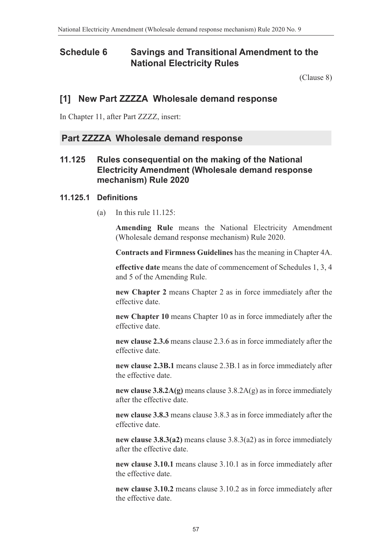#### **Schedule 6 Savings and Transitional Amendment to the National Electricity Rules**

<span id="page-57-0"></span>[\(Clause 8\)](#page-2-5)

#### **[1] New Part ZZZZA Wholesale demand response**

In Chapter 11, after Part ZZZZ, insert:

#### **Part ZZZZA Wholesale demand response**

#### **11.125 Rules consequential on the making of the National Electricity Amendment (Wholesale demand response mechanism) Rule 2020**

#### **11.125.1 Definitions**

(a) In this rule  $11.125$ :

**Amending Rule** means the National Electricity Amendment (Wholesale demand response mechanism) Rule 2020.

**Contracts and Firmness Guidelines** has the meaning in Chapter 4A.

**effective date** means the date of commencement of Schedules 1, 3, 4 and 5 of the Amending Rule.

**new Chapter 2** means Chapter 2 as in force immediately after the effective date.

**new Chapter 10** means Chapter 10 as in force immediately after the effective date.

**new clause 2.3.6** means clause 2.3.6 as in force immediately after the effective date.

**new clause 2.3B.1** means clause 2.3B.1 as in force immediately after the effective date.

**new clause 3.8.2A(g)** means clause 3.8.2A(g) as in force immediately after the effective date.

**new clause 3.8.3** means clause 3.8.3 as in force immediately after the effective date.

**new clause 3.8.3(a2)** means clause 3.8.3(a2) as in force immediately after the effective date.

**new clause 3.10.1** means clause 3.10.1 as in force immediately after the effective date.

**new clause 3.10.2** means clause 3.10.2 as in force immediately after the effective date.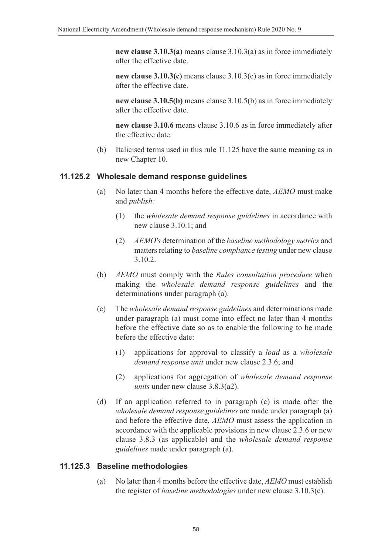**new clause 3.10.3(a)** means clause 3.10.3(a) as in force immediately after the effective date.

**new clause 3.10.3(c)** means clause 3.10.3(c) as in force immediately after the effective date.

**new clause 3.10.5(b)** means clause 3.10.5(b) as in force immediately after the effective date.

**new clause 3.10.6** means clause 3.10.6 as in force immediately after the effective date.

(b) Italicised terms used in this rule 11.125 have the same meaning as in new Chapter 10.

#### **11.125.2 Wholesale demand response guidelines**

- (a) No later than 4 months before the effective date, *AEMO* must make and *publish:*
	- (1) the *wholesale demand response guidelines* in accordance with new clause 3.10.1; and
	- (2) *AEMO's* determination of the *baseline methodology metrics* and matters relating to *baseline compliance testing* under new clause 3.10.2.
- (b) *AEMO* must comply with the *Rules consultation procedure* when making the *wholesale demand response guidelines* and the determinations under paragraph (a).
- (c) The *wholesale demand response guidelines* and determinations made under paragraph (a) must come into effect no later than 4 months before the effective date so as to enable the following to be made before the effective date:
	- (1) applications for approval to classify a *load* as a *wholesale demand response unit* under new clause 2.3.6; and
	- (2) applications for aggregation of *wholesale demand response units* under new clause 3.8.3(a2).
- (d) If an application referred to in paragraph (c) is made after the *wholesale demand response guidelines* are made under paragraph (a) and before the effective date, *AEMO* must assess the application in accordance with the applicable provisions in new clause 2.3.6 or new clause 3.8.3 (as applicable) and the *wholesale demand response guidelines* made under paragraph (a).

#### **11.125.3 Baseline methodologies**

(a) No later than 4 months before the effective date, *AEMO* must establish the register of *baseline methodologies* under new clause 3.10.3(c).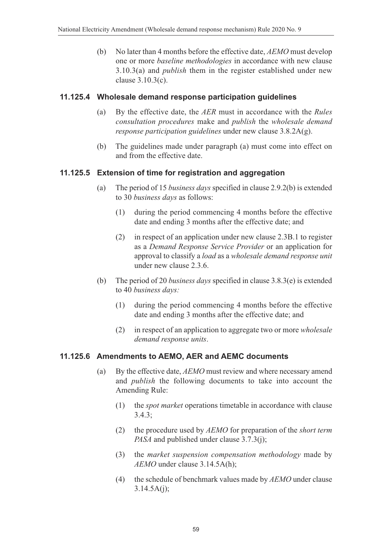(b) No later than 4 months before the effective date, *AEMO* must develop one or more *baseline methodologies* in accordance with new clause 3.10.3(a) and *publish* them in the register established under new clause 3.10.3(c).

#### **11.125.4 Wholesale demand response participation guidelines**

- (a) By the effective date, the *AER* must in accordance with the *Rules consultation procedures* make and *publish* the *wholesale demand response participation guidelines* under new clause 3.8.2A(g).
- (b) The guidelines made under paragraph (a) must come into effect on and from the effective date.

#### **11.125.5 Extension of time for registration and aggregation**

- (a) The period of 15 *business days* specified in clause 2.9.2(b) is extended to 30 *business days* as follows:
	- (1) during the period commencing 4 months before the effective date and ending 3 months after the effective date; and
	- (2) in respect of an application under new clause 2.3B.1 to register as a *Demand Response Service Provider* or an application for approval to classify a *load* as a *wholesale demand response unit* under new clause 2.3.6.
- (b) The period of 20 *business days* specified in clause 3.8.3(e) is extended to 40 *business days:*
	- (1) during the period commencing 4 months before the effective date and ending 3 months after the effective date; and
	- (2) in respect of an application to aggregate two or more *wholesale demand response units*.

#### **11.125.6 Amendments to AEMO, AER and AEMC documents**

- (a) By the effective date, *AEMO* must review and where necessary amend and *publish* the following documents to take into account the Amending Rule:
	- (1) the *spot market* operations timetable in accordance with clause 3.4.3;
	- (2) the procedure used by *AEMO* for preparation of the *short term PASA* and published under clause 3.7.3(j);
	- (3) the *market suspension compensation methodology* made by *AEMO* under clause 3.14.5A(h);
	- (4) the schedule of benchmark values made by *AEMO* under clause  $3.14.5A(i)$ ;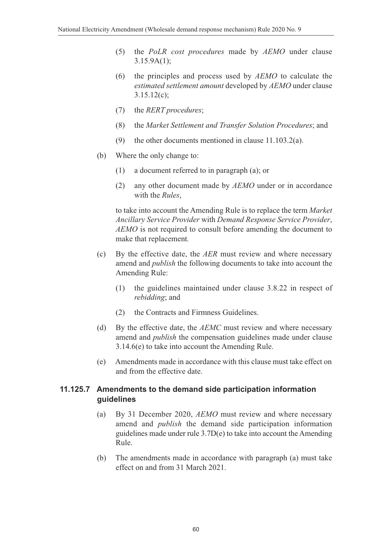- (5) the *PoLR cost procedures* made by *AEMO* under clause 3.15.9A(1);
- (6) the principles and process used by *AEMO* to calculate the *estimated settlement amount* developed by *AEMO* under clause 3.15.12(c);
- (7) the *RERT procedures*;
- (8) the *Market Settlement and Transfer Solution Procedures*; and
- (9) the other documents mentioned in clause 11.103.2(a).
- (b) Where the only change to:
	- (1) a document referred to in paragraph (a); or
	- (2) any other document made by *AEMO* under or in accordance with the *Rules*,

to take into account the Amending Rule is to replace the term *Market Ancillary Service Provider* with *Demand Response Service Provider*, *AEMO* is not required to consult before amending the document to make that replacement*.*

- (c) By the effective date, the *AER* must review and where necessary amend and *publish* the following documents to take into account the Amending Rule:
	- (1) the guidelines maintained under clause 3.8.22 in respect of *rebidding*; and
	- (2) the Contracts and Firmness Guidelines.
- (d) By the effective date, the *AEMC* must review and where necessary amend and *publish* the compensation guidelines made under clause 3.14.6(e) to take into account the Amending Rule.
- (e) Amendments made in accordance with this clause must take effect on and from the effective date.

#### **11.125.7 Amendments to the demand side participation information guidelines**

- (a) By 31 December 2020, *AEMO* must review and where necessary amend and *publish* the demand side participation information guidelines made under rule 3.7D(e) to take into account the Amending Rule.
- (b) The amendments made in accordance with paragraph (a) must take effect on and from 31 March 2021.